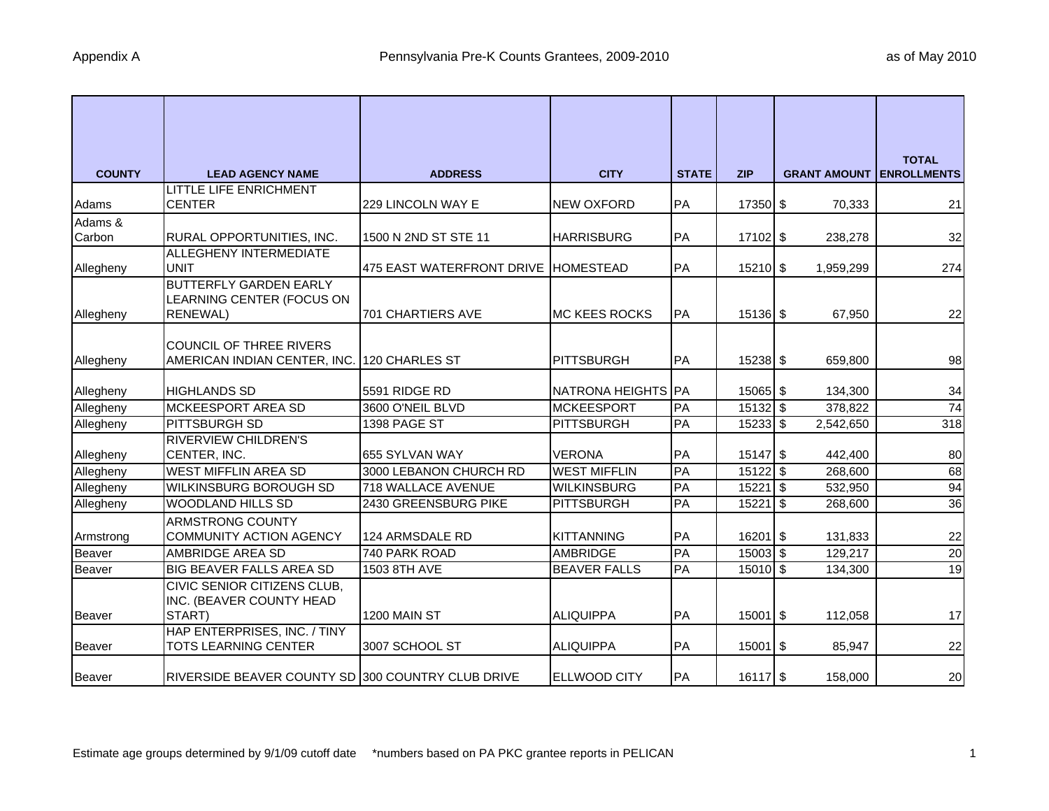| <b>COUNTY</b> | <b>LEAD AGENCY NAME</b>                                     | <b>ADDRESS</b>                        | <b>CITY</b>         | <b>STATE</b> | <b>ZIP</b> | <b>GRANT AMOUNT</b> | <b>TOTAL</b><br><b>ENROLLMENTS</b> |
|---------------|-------------------------------------------------------------|---------------------------------------|---------------------|--------------|------------|---------------------|------------------------------------|
|               | LITTLE LIFE ENRICHMENT                                      |                                       |                     |              |            |                     |                                    |
| Adams         | <b>CENTER</b>                                               | 229 LINCOLN WAY E                     | <b>NEW OXFORD</b>   | PA           | 17350 \$   | 70,333              | 21                                 |
| Adams &       |                                                             |                                       |                     |              |            |                     |                                    |
| Carbon        | RURAL OPPORTUNITIES, INC.                                   | 1500 N 2ND ST STE 11                  | <b>HARRISBURG</b>   | PA           | 17102 \$   | 238,278             | 32                                 |
| Allegheny     | ALLEGHENY INTERMEDIATE<br><b>UNIT</b>                       | 475 EAST WATERFRONT DRIVE   HOMESTEAD |                     | PA           | 15210 \$   | 1,959,299           | 274                                |
|               | <b>BUTTERFLY GARDEN EARLY</b>                               |                                       |                     |              |            |                     |                                    |
|               | LEARNING CENTER (FOCUS ON                                   |                                       |                     |              |            |                     |                                    |
| Allegheny     | <b>RENEWAL</b> )                                            | <b>701 CHARTIERS AVE</b>              | IMC KEES ROCKS      | <b>PA</b>    | $15136$ \$ | 67,950              | 22                                 |
|               |                                                             |                                       |                     |              |            |                     |                                    |
|               | COUNCIL OF THREE RIVERS                                     |                                       |                     |              |            |                     |                                    |
| Allegheny     | AMERICAN INDIAN CENTER, INC.                                | 120 CHARLES ST                        | <b>PITTSBURGH</b>   | PA           | $15238$ \$ | 659,800             | 98                                 |
|               |                                                             |                                       |                     |              |            |                     |                                    |
| Allegheny     | <b>HIGHLANDS SD</b>                                         | 5591 RIDGE RD                         | NATRONA HEIGHTS PA  |              | 15065 \$   | 134,300             | 34                                 |
| Allegheny     | MCKEESPORT AREA SD                                          | 3600 O'NEIL BLVD                      | <b>MCKEESPORT</b>   | PA           | $15132$ \$ | 378,822             | 74                                 |
| Allegheny     | PITTSBURGH SD                                               | 1398 PAGE ST                          | <b>PITTSBURGH</b>   | PA           | $15233$ \$ | 2,542,650           | 318                                |
|               | <b>RIVERVIEW CHILDREN'S</b>                                 |                                       |                     |              |            |                     |                                    |
| Allegheny     | CENTER, INC.                                                | 655 SYLVAN WAY                        | <b>VERONA</b>       | PA           | $15147$ \$ | 442,400             | 80                                 |
| Allegheny     | <b>WEST MIFFLIN AREA SD</b>                                 | 3000 LEBANON CHURCH RD                | <b>WEST MIFFLIN</b> | PA           | $15122$ \$ | 268,600             | 68                                 |
| Allegheny     | <b>WILKINSBURG BOROUGH SD</b>                               | 718 WALLACE AVENUE                    | <b>WILKINSBURG</b>  | PA           | $15221$ \$ | 532,950             | 94                                 |
| Allegheny     | <b>WOODLAND HILLS SD</b>                                    | 2430 GREENSBURG PIKE                  | <b>PITTSBURGH</b>   | PA           | $15221$ \$ | 268,600             | $\overline{36}$                    |
|               | ARMSTRONG COUNTY                                            |                                       |                     |              |            |                     |                                    |
| Armstrong     | <b>COMMUNITY ACTION AGENCY</b>                              | 124 ARMSDALE RD                       | <b>KITTANNING</b>   | PA           | $16201$ \$ | 131,833             | 22                                 |
| Beaver        | AMBRIDGE AREA SD                                            | 740 PARK ROAD                         | <b>AMBRIDGE</b>     | PA           | $15003$ \$ | 129,217             | 20                                 |
| Beaver        | BIG BEAVER FALLS AREA SD                                    | 1503 8TH AVE                          | <b>BEAVER FALLS</b> | PA           | $15010$ \$ | 134,300             | 19                                 |
|               | CIVIC SENIOR CITIZENS CLUB,                                 |                                       |                     |              |            |                     |                                    |
|               | INC. (BEAVER COUNTY HEAD                                    |                                       |                     |              |            |                     |                                    |
| Beaver        | START)                                                      | 1200 MAIN ST                          | <b>ALIQUIPPA</b>    | PA           | 15001 \$   | 112,058             | 17                                 |
| <b>Beaver</b> | HAP ENTERPRISES, INC. / TINY<br><b>TOTS LEARNING CENTER</b> | 3007 SCHOOL ST                        | ALIQUIPPA           | PA           | $15001$ \$ | 85,947              | 22                                 |
| <b>Beaver</b> | RIVERSIDE BEAVER COUNTY SD 300 COUNTRY CLUB DRIVE           |                                       | <b>ELLWOOD CITY</b> | PA           | $16117$ \$ | 158,000             | 20                                 |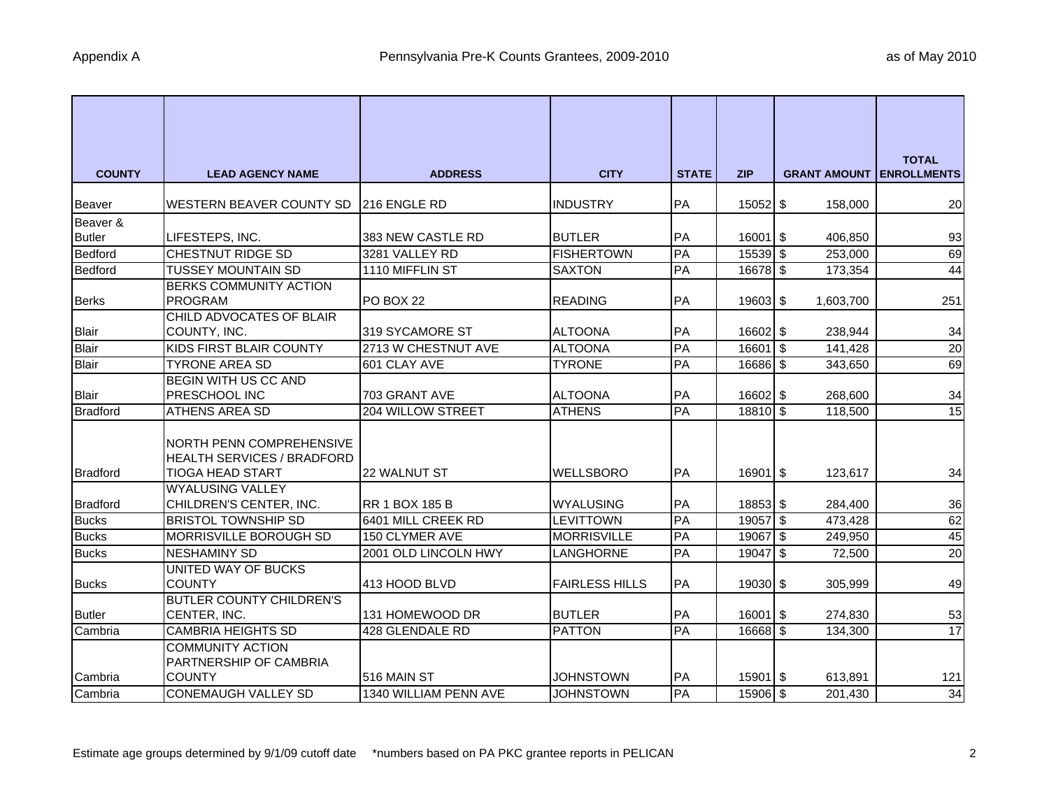| <b>COUNTY</b>   | <b>LEAD AGENCY NAME</b>                                       | <b>ADDRESS</b>        | <b>CITY</b>           | <b>STATE</b> | <b>ZIP</b>  | <b>GRANT AMOUNT</b> | <b>TOTAL</b><br><b>ENROLLMENTS</b> |
|-----------------|---------------------------------------------------------------|-----------------------|-----------------------|--------------|-------------|---------------------|------------------------------------|
| Beaver          | WESTERN BEAVER COUNTY SD                                      | <b>216 ENGLE RD</b>   | <b>INDUSTRY</b>       | PA           | 15052 \$    | 158,000             | <b>20</b>                          |
| Beaver &        |                                                               |                       |                       |              |             |                     |                                    |
| <b>Butler</b>   | LIFESTEPS, INC.                                               | 383 NEW CASTLE RD     | <b>BUTLER</b>         | PA           | $16001$ \$  | 406,850             | 93                                 |
| Bedford         | CHESTNUT RIDGE SD                                             | 3281 VALLEY RD        | <b>FISHERTOWN</b>     | PA           | 15539 \$    | 253,000             | 69                                 |
| Bedford         | <b>TUSSEY MOUNTAIN SD</b>                                     | 1110 MIFFLIN ST       | <b>SAXTON</b>         | PA           | 16678 \$    | 173,354             | 44                                 |
|                 | <b>BERKS COMMUNITY ACTION</b>                                 |                       |                       |              |             |                     |                                    |
| <b>Berks</b>    | PROGRAM                                                       | PO BOX 22             | <b>READING</b>        | PA           | 19603 \$    | 1,603,700           | 251                                |
|                 | CHILD ADVOCATES OF BLAIR                                      |                       |                       |              |             |                     |                                    |
| <b>Blair</b>    | COUNTY, INC.                                                  | 319 SYCAMORE ST       | <b>ALTOONA</b>        | PA           | 16602 \$    | 238,944             | 34                                 |
| Blair           | <b>KIDS FIRST BLAIR COUNTY</b>                                | 2713 W CHESTNUT AVE   | <b>ALTOONA</b>        | PA           | 16601 \$    | 141,428             | 20                                 |
| Blair           | <b>TYRONE AREA SD</b>                                         | 601 CLAY AVE          | <b>TYRONE</b>         | PA           | 16686 \$    | 343,650             | 69                                 |
|                 | BEGIN WITH US CC AND                                          |                       |                       |              |             |                     |                                    |
| <b>Blair</b>    | PRESCHOOL INC                                                 | 703 GRANT AVE         | <b>ALTOONA</b>        | PA           | 16602 \$    | 268,600             | 34                                 |
| <b>Bradford</b> | ATHENS AREA SD                                                | 204 WILLOW STREET     | <b>ATHENS</b>         | PA           | 18810 \$    | 118,500             | 15                                 |
|                 | NORTH PENN COMPREHENSIVE<br><b>HEALTH SERVICES / BRADFORD</b> |                       |                       |              |             |                     |                                    |
| <b>Bradford</b> | <b>TIOGA HEAD START</b>                                       | <b>22 WALNUT ST</b>   | <b>WELLSBORO</b>      | <b>PA</b>    | $16901$ $$$ | 123,617             | 34                                 |
| <b>Bradford</b> | <b>WYALUSING VALLEY</b><br>CHILDREN'S CENTER, INC.            | <b>RR 1 BOX 185 B</b> | <b>WYALUSING</b>      | PA           | 18853 \$    | 284,400             | 36                                 |
| <b>Bucks</b>    | <b>BRISTOL TOWNSHIP SD</b>                                    | 6401 MILL CREEK RD    | <b>LEVITTOWN</b>      | PA           | 19057 \$    | 473,428             | 62                                 |
| <b>Bucks</b>    | MORRISVILLE BOROUGH SD                                        | 150 CLYMER AVE        | <b>MORRISVILLE</b>    | PA           | 19067 \$    | 249,950             | 45                                 |
| <b>Bucks</b>    | <b>NESHAMINY SD</b>                                           | 2001 OLD LINCOLN HWY  | LANGHORNE             | PA           | 19047 \$    | 72,500              | 20                                 |
|                 | UNITED WAY OF BUCKS                                           |                       |                       |              |             |                     |                                    |
| <b>Bucks</b>    | <b>COUNTY</b>                                                 | 413 HOOD BLVD         | <b>FAIRLESS HILLS</b> | PA           | 19030 \$    | 305,999             | 49                                 |
|                 | <b>BUTLER COUNTY CHILDREN'S</b>                               |                       |                       |              |             |                     |                                    |
| <b>Butler</b>   | CENTER, INC.                                                  | 131 HOMEWOOD DR       | <b>BUTLER</b>         | PA           | $16001$ \$  | 274,830             | 53                                 |
| Cambria         | <b>CAMBRIA HEIGHTS SD</b>                                     | 428 GLENDALE RD       | <b>PATTON</b>         | PA           | 16668 \$    | 134,300             | 17                                 |
|                 | <b>COMMUNITY ACTION</b><br>PARTNERSHIP OF CAMBRIA             |                       |                       |              |             |                     |                                    |
| Cambria         | <b>COUNTY</b>                                                 | 516 MAIN ST           | <b>JOHNSTOWN</b>      | <b>PA</b>    | $15901$ \$  | 613,891             | 121                                |
| Cambria         | <b>CONEMAUGH VALLEY SD</b>                                    | 1340 WILLIAM PENN AVE | <b>JOHNSTOWN</b>      | PA           | 15906 \$    | 201,430             | 34                                 |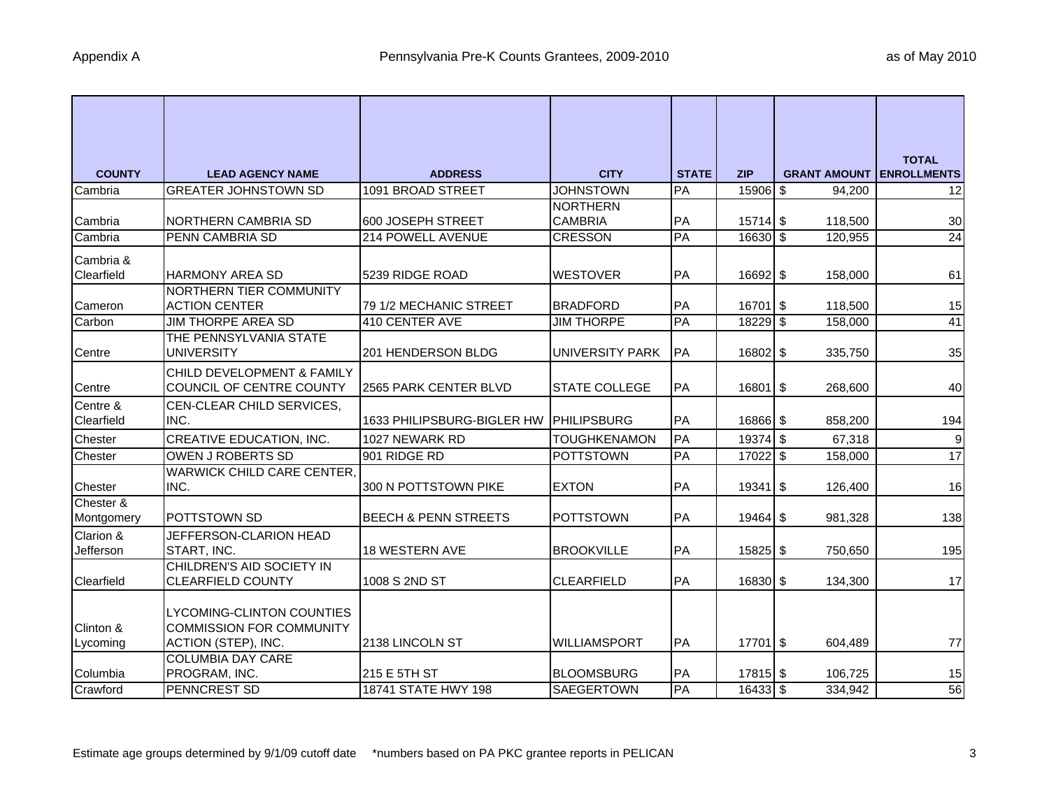| <b>COUNTY</b>          | <b>LEAD AGENCY NAME</b>           | <b>ADDRESS</b>                          | <b>CITY</b>            | <b>STATE</b> | <b>ZIP</b> | <b>GRANT AMOUNT</b> | <b>TOTAL</b><br><b>ENROLLMENTS</b> |
|------------------------|-----------------------------------|-----------------------------------------|------------------------|--------------|------------|---------------------|------------------------------------|
| Cambria                | <b>GREATER JOHNSTOWN SD</b>       | 1091 BROAD STREET                       | <b>JOHNSTOWN</b>       | PA           | 15906 \$   | 94,200              | 12                                 |
|                        |                                   |                                         | <b>NORTHERN</b>        |              |            |                     |                                    |
| Cambria                | <b>NORTHERN CAMBRIA SD</b>        | 600 JOSEPH STREET                       | <b>CAMBRIA</b>         | PA           | 15714 \$   | 118,500             | 30                                 |
| Cambria                | PENN CAMBRIA SD                   | 214 POWELL AVENUE                       | <b>CRESSON</b>         | PA           | 16630 \$   | 120,955             | 24                                 |
| Cambria &              |                                   |                                         |                        |              |            |                     |                                    |
| Clearfield             | <b>HARMONY AREA SD</b>            | 5239 RIDGE ROAD                         | <b>WESTOVER</b>        | PA           | 16692 \$   | 158,000             | 61                                 |
|                        | NORTHERN TIER COMMUNITY           |                                         |                        |              |            |                     |                                    |
| Cameron                | <b>ACTION CENTER</b>              | 79 1/2 MECHANIC STREET                  | <b>BRADFORD</b>        | PA           | 16701 \$   | 118,500             | 15                                 |
| Carbon                 | JIM THORPE AREA SD                | 410 CENTER AVE                          | <b>JIM THORPE</b>      | PA           | 18229 \$   | 158,000             | 41                                 |
|                        | THE PENNSYLVANIA STATE            |                                         |                        |              |            |                     |                                    |
| Centre                 | <b>UNIVERSITY</b>                 | 201 HENDERSON BLDG                      | <b>UNIVERSITY PARK</b> | PA           | 16802 \$   | 335,750             | 35                                 |
|                        | CHILD DEVELOPMENT & FAMILY        |                                         |                        |              |            |                     |                                    |
| Centre                 | COUNCIL OF CENTRE COUNTY          | 2565 PARK CENTER BLVD                   | <b>STATE COLLEGE</b>   | PA           | 16801 \$   | 268,600             | 40                                 |
| Centre &<br>Clearfield | CEN-CLEAR CHILD SERVICES,<br>INC. | 1633 PHILIPSBURG-BIGLER HW IPHILIPSBURG |                        | PA           | 16866 \$   | 858,200             | 194                                |
|                        | CREATIVE EDUCATION, INC.          | 1027 NEWARK RD                          | <b>TOUGHKENAMON</b>    | PA           | $19374$ \$ | 67,318              | 9                                  |
| Chester<br>Chester     | OWEN J ROBERTS SD                 | 901 RIDGE RD                            | <b>POTTSTOWN</b>       | PA           | 17022 \$   | 158,000             | 17                                 |
|                        | <b>WARWICK CHILD CARE CENTER,</b> |                                         |                        |              |            |                     |                                    |
| Chester                | INC.                              | 300 N POTTSTOWN PIKE                    | <b>EXTON</b>           | PA           | $19341$ \$ | 126,400             | 16                                 |
| Chester &              |                                   |                                         |                        |              |            |                     |                                    |
| Montgomery             | <b>POTTSTOWN SD</b>               | <b>BEECH &amp; PENN STREETS</b>         | <b>POTTSTOWN</b>       | PA           | 19464 \$   | 981,328             | 138                                |
| Clarion &              | JEFFERSON-CLARION HEAD            |                                         |                        |              |            |                     |                                    |
| Jefferson              | START, INC.                       | 18 WESTERN AVE                          | <b>BROOKVILLE</b>      | PA           | $15825$ \$ | 750,650             | 195                                |
|                        | CHILDREN'S AID SOCIETY IN         |                                         |                        |              |            |                     |                                    |
| Clearfield             | <b>CLEARFIELD COUNTY</b>          | 1008 S 2ND ST                           | <b>CLEARFIELD</b>      | PA           | 16830 \$   | 134,300             | 17                                 |
|                        | <b>LYCOMING-CLINTON COUNTIES</b>  |                                         |                        |              |            |                     |                                    |
| Clinton &              | <b>COMMISSION FOR COMMUNITY</b>   |                                         |                        |              |            |                     |                                    |
| Lycoming               | ACTION (STEP), INC.               | 2138 LINCOLN ST                         | WILLIAMSPORT           | PA           | $17701$ \$ | 604,489             | 77                                 |
|                        | <b>COLUMBIA DAY CARE</b>          |                                         |                        |              |            |                     |                                    |
| Columbia               | PROGRAM, INC.                     | 215 E 5TH ST                            | <b>BLOOMSBURG</b>      | PA           | 17815 \$   | 106,725             | 15                                 |
| Crawford               | <b>PENNCREST SD</b>               | 18741 STATE HWY 198                     | SAEGERTOWN             | PA           | 16433 \$   | 334,942             | 56                                 |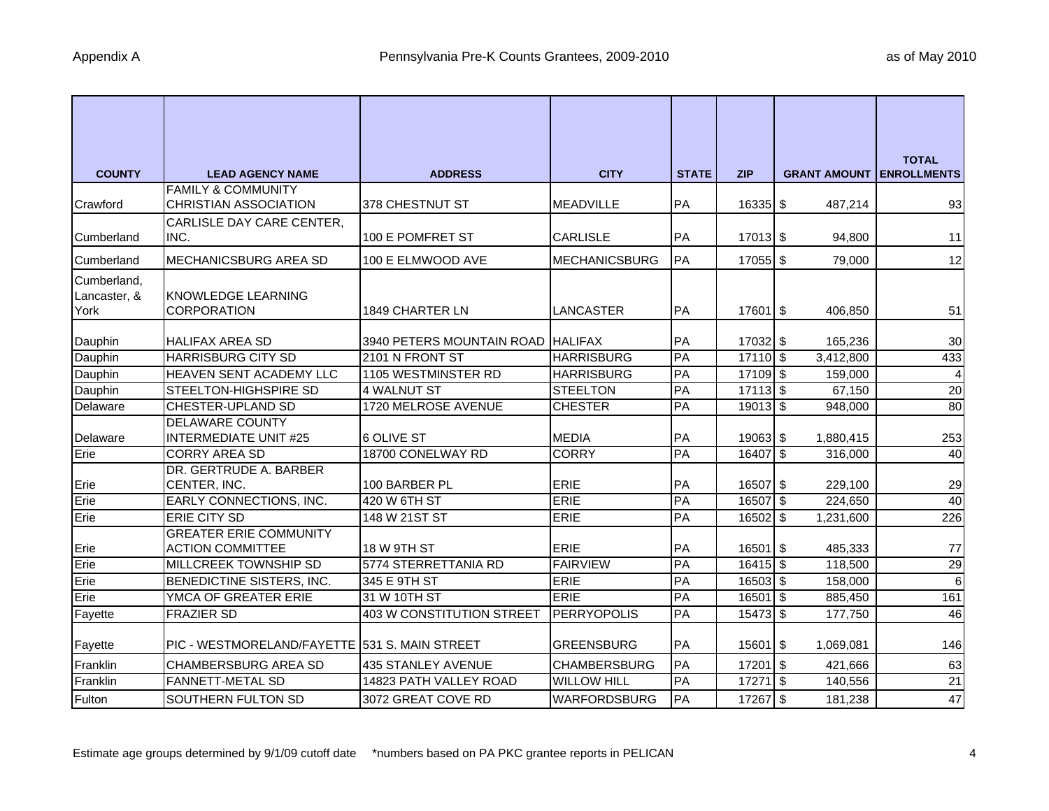| <b>COUNTY</b> | <b>LEAD AGENCY NAME</b>                            | <b>ADDRESS</b>                       | <b>CITY</b>                    | <b>STATE</b> | <b>ZIP</b>             | <b>GRANT AMOUNT LENROLLMENTS</b> | <b>TOTAL</b>           |
|---------------|----------------------------------------------------|--------------------------------------|--------------------------------|--------------|------------------------|----------------------------------|------------------------|
|               | <b>FAMILY &amp; COMMUNITY</b>                      |                                      |                                |              |                        |                                  |                        |
| Crawford      | <b>CHRISTIAN ASSOCIATION</b>                       | 378 CHESTNUT ST                      | <b>MEADVILLE</b>               | <b>PA</b>    | $16335$ \$             | 487,214                          | 93                     |
|               | CARLISLE DAY CARE CENTER,                          |                                      |                                |              |                        |                                  |                        |
| Cumberland    | INC.                                               | 100 E POMFRET ST                     | <b>CARLISLE</b>                | PA           | $17013$ \$             | 94,800                           | 11                     |
| Cumberland    | MECHANICSBURG AREA SD                              | 100 E ELMWOOD AVE                    | <b>MECHANICSBURG</b>           | PA           | 17055 \$               | 79,000                           | 12                     |
| Cumberland,   |                                                    |                                      |                                |              |                        |                                  |                        |
| Lancaster, &  | <b>KNOWLEDGE LEARNING</b>                          |                                      |                                |              |                        |                                  |                        |
| York          | <b>CORPORATION</b>                                 | <b>1849 CHARTER LN</b>               | <b>LANCASTER</b>               | PA           | 17601 \$               | 406,850                          | 51                     |
| Dauphin       | <b>HALIFAX AREA SD</b>                             | 3940 PETERS MOUNTAIN ROAD HALIFAX    |                                | PA           | 17032 \$               | 165,236                          | 30                     |
| Dauphin       | <b>HARRISBURG CITY SD</b>                          | 2101 N FRONT ST                      | <b>HARRISBURG</b>              | PA           | $17110$ \$             | 3,412,800                        | 433                    |
| Dauphin       | HEAVEN SENT ACADEMY LLC                            | 1105 WESTMINSTER RD                  | <b>HARRISBURG</b>              | PA           | 17109 \$               | 159,000                          | $\overline{a}$         |
| Dauphin       | STEELTON-HIGHSPIRE SD                              | 4 WALNUT ST                          | <b>STEELTON</b>                | PA           | $17113$ \$             | 67,150                           | 20                     |
| Delaware      | CHESTER-UPLAND SD                                  | 1720 MELROSE AVENUE                  | <b>CHESTER</b>                 | PA           | $19013$ \$             | 948,000                          | 80                     |
|               | <b>DELAWARE COUNTY</b>                             |                                      |                                |              |                        |                                  |                        |
| Delaware      | <b>INTERMEDIATE UNIT #25</b>                       | 6 OLIVE ST                           | <b>MEDIA</b>                   | PA           | 19063 \$               | 1,880,415                        | 253                    |
| Erie          | <b>CORRY AREA SD</b>                               | 18700 CONELWAY RD                    | <b>CORRY</b>                   | PA           | 16407 \$               | 316,000                          | 40                     |
|               | DR. GERTRUDE A. BARBER                             |                                      |                                |              |                        |                                  |                        |
| Erie          | CENTER, INC.                                       | 100 BARBER PL                        | <b>ERIE</b>                    | PA           | 16507 \$               | 229,100                          | 29                     |
| Erie          | EARLY CONNECTIONS, INC.                            | 420 W 6TH ST                         | <b>ERIE</b>                    | PA           | 16507 \$               | 224,650                          | 40                     |
| Erie          | <b>ERIE CITY SD</b>                                | 148 W 21ST ST                        | <b>ERIE</b>                    | PA           | 16502 \$               | 1,231,600                        | 226                    |
|               | <b>GREATER ERIE COMMUNITY</b>                      |                                      |                                |              |                        |                                  |                        |
| Erie<br>Erie  | <b>ACTION COMMITTEE</b>                            | 18 W 9TH ST                          | <b>ERIE</b><br><b>FAIRVIEW</b> | PA<br>PA     | $16501$ \$             | 485,333                          | 77                     |
| Erie          | MILLCREEK TOWNSHIP SD<br>BENEDICTINE SISTERS, INC. | 5774 STERRETTANIA RD<br>345 E 9TH ST | <b>ERIE</b>                    | PA           | $16415$ \$<br>16503 \$ | 118,500                          | 29<br>$6 \overline{6}$ |
| Erie          | YMCA OF GREATER ERIE                               | 31 W 10TH ST                         | <b>ERIE</b>                    | PA           | 16501 \$               | 158,000<br>885,450               | 161                    |
| Fayette       | <b>FRAZIER SD</b>                                  | 403 W CONSTITUTION STREET            | <b>PERRYOPOLIS</b>             | PA           | 15473 \$               | 177,750                          | 46                     |
|               |                                                    |                                      |                                |              |                        |                                  |                        |
| Fayette       | PIC - WESTMORELAND/FAYETTE 531 S. MAIN STREET      |                                      | <b>GREENSBURG</b>              | PA           | 15601 \$               | 1,069,081                        | 146                    |
| Franklin      | <b>CHAMBERSBURG AREA SD</b>                        | <b>435 STANLEY AVENUE</b>            | <b>CHAMBERSBURG</b>            | PA           | 17201 \$               | 421,666                          | 63                     |
| Franklin      | <b>FANNETT-METAL SD</b>                            | 14823 PATH VALLEY ROAD               | <b>WILLOW HILL</b>             | PA           | $17271$ \$             | 140,556                          | 21                     |
| Fulton        | SOUTHERN FULTON SD                                 | 3072 GREAT COVE RD                   | <b>WARFORDSBURG</b>            | PA           | 17267 \$               | 181,238                          | 47                     |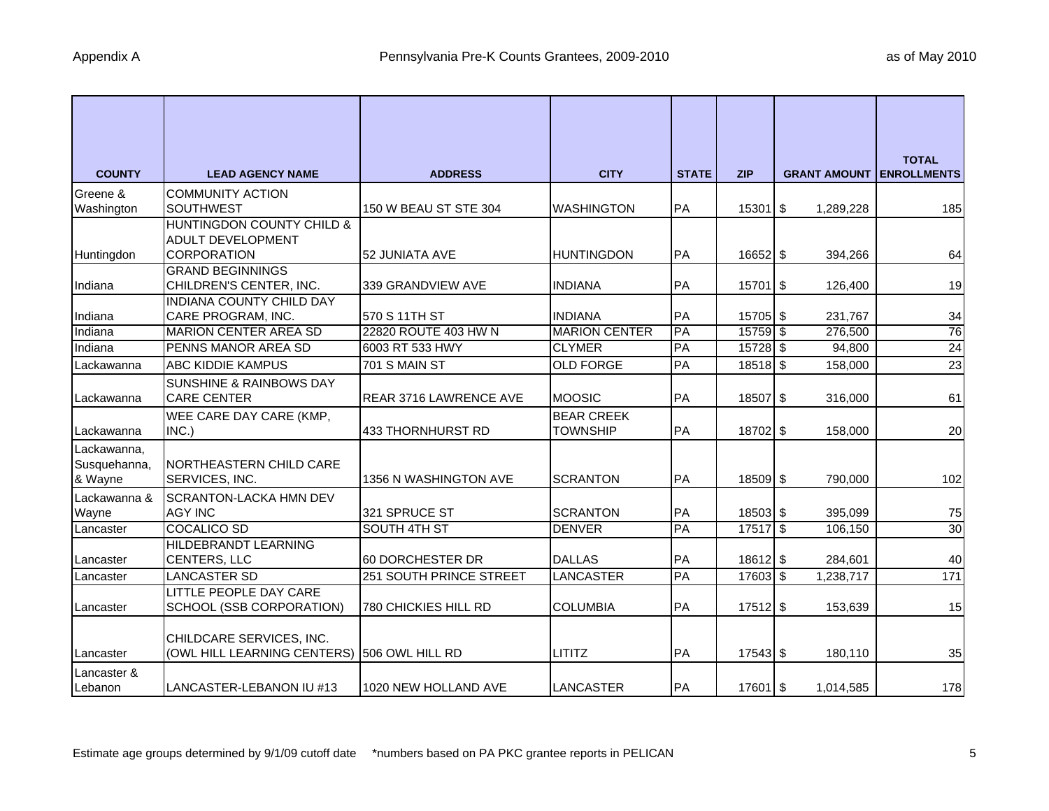| <b>COUNTY</b> | <b>LEAD AGENCY NAME</b>                            | <b>ADDRESS</b>                              | <b>CITY</b>                | <b>STATE</b> | <b>ZIP</b> | <b>GRANT AMOUNT</b> | <b>TOTAL</b><br><b>ENROLLMENTS</b> |
|---------------|----------------------------------------------------|---------------------------------------------|----------------------------|--------------|------------|---------------------|------------------------------------|
| Greene &      | <b>COMMUNITY ACTION</b>                            |                                             |                            |              |            |                     |                                    |
| Washington    | <b>SOUTHWEST</b>                                   | 150 W BEAU ST STE 304                       | <b>WASHINGTON</b>          | PA           | $15301$ \$ | 1,289,228           | 185                                |
|               | HUNTINGDON COUNTY CHILD &                          |                                             |                            |              |            |                     |                                    |
|               | <b>ADULT DEVELOPMENT</b>                           |                                             |                            |              |            |                     |                                    |
| Huntingdon    | <b>CORPORATION</b>                                 | 52 JUNIATA AVE                              | <b>HUNTINGDON</b>          | PA           | 16652 \$   | 394,266             | 64                                 |
| Indiana       | <b>GRAND BEGINNINGS</b><br>CHILDREN'S CENTER, INC. | 339 GRANDVIEW AVE                           | <b>INDIANA</b>             | PA           | 15701 \$   | 126,400             | 19                                 |
|               | <b>INDIANA COUNTY CHILD DAY</b>                    |                                             |                            |              |            |                     |                                    |
| Indiana       | CARE PROGRAM, INC.                                 | 570 S 11TH ST                               | <b>INDIANA</b>             | PA           | 15705 \$   | 231,767             | 34                                 |
| Indiana       | <b>MARION CENTER AREA SD</b>                       | 22820 ROUTE 403 HW N                        | <b>MARION CENTER</b>       | PA           | 15759 \$   | 276,500             | 76                                 |
| Indiana       | PENNS MANOR AREA SD                                | 6003 RT 533 HWY                             | <b>CLYMER</b>              | PA           | $15728$ \$ | 94,800              | 24                                 |
| Lackawanna    | <b>ABC KIDDIE KAMPUS</b>                           | 701 S MAIN ST                               | <b>OLD FORGE</b>           | PA           | $18518$ \$ | 158,000             | 23                                 |
|               | <b>SUNSHINE &amp; RAINBOWS DAY</b>                 |                                             |                            |              |            |                     |                                    |
| Lackawanna    | <b>CARE CENTER</b>                                 | REAR 3716 LAWRENCE AVE                      | <b>MOOSIC</b>              | PA           | 18507 \$   | 316,000             | 61                                 |
|               | WEE CARE DAY CARE (KMP,                            |                                             | <b>BEAR CREEK</b>          |              |            |                     |                                    |
| Lackawanna    | INC.)                                              | 433 THORNHURST RD                           | <b>TOWNSHIP</b>            | PA           | 18702 \$   | 158,000             | 20                                 |
| Lackawanna,   |                                                    |                                             |                            |              |            |                     |                                    |
| Susquehanna,  | NORTHEASTERN CHILD CARE                            |                                             |                            |              |            |                     |                                    |
| & Wayne       | SERVICES, INC.                                     | 1356 N WASHINGTON AVE                       | <b>SCRANTON</b>            | PA           | 18509 \$   | 790,000             | 102                                |
| Lackawanna &  | <b>SCRANTON-LACKA HMN DEV</b>                      |                                             |                            |              |            |                     |                                    |
| Wayne         | <b>AGY INC</b>                                     | 321 SPRUCE ST                               | <b>SCRANTON</b>            | PA           | 18503 \$   | 395,099             | 75                                 |
| Lancaster     | <b>COCALICO SD</b>                                 | SOUTH 4TH ST                                | <b>DENVER</b>              | PA           | $17517$ \$ | 106,150             | 30                                 |
|               | HILDEBRANDT LEARNING                               |                                             |                            |              |            |                     |                                    |
| Lancaster     | CENTERS, LLC                                       | 60 DORCHESTER DR<br>251 SOUTH PRINCE STREET | <b>DALLAS</b><br>LANCASTER | PA<br>PA     | $18612$ \$ | 284,601             | 40<br>171                          |
| Lancaster     | LANCASTER SD<br><b>LITTLE PEOPLE DAY CARE</b>      |                                             |                            |              | 17603 \$   | 1,238,717           |                                    |
| Lancaster     | SCHOOL (SSB CORPORATION)                           | 780 CHICKIES HILL RD                        | <b>COLUMBIA</b>            | PA           | $17512$ \$ | 153,639             | 15                                 |
|               |                                                    |                                             |                            |              |            |                     |                                    |
|               | CHILDCARE SERVICES, INC.                           |                                             |                            |              |            |                     |                                    |
| Lancaster     | (OWL HILL LEARNING CENTERS)                        | 506 OWL HILL RD                             | <b>LITITZ</b>              | PA           | $17543$ \$ | 180,110             | 35                                 |
| Lancaster &   |                                                    |                                             |                            |              |            |                     |                                    |
| Lebanon       | LANCASTER-LEBANON IU #13                           | 1020 NEW HOLLAND AVE                        | <b>LANCASTER</b>           | <b>PA</b>    | 17601 \$   | 1,014,585           | 178                                |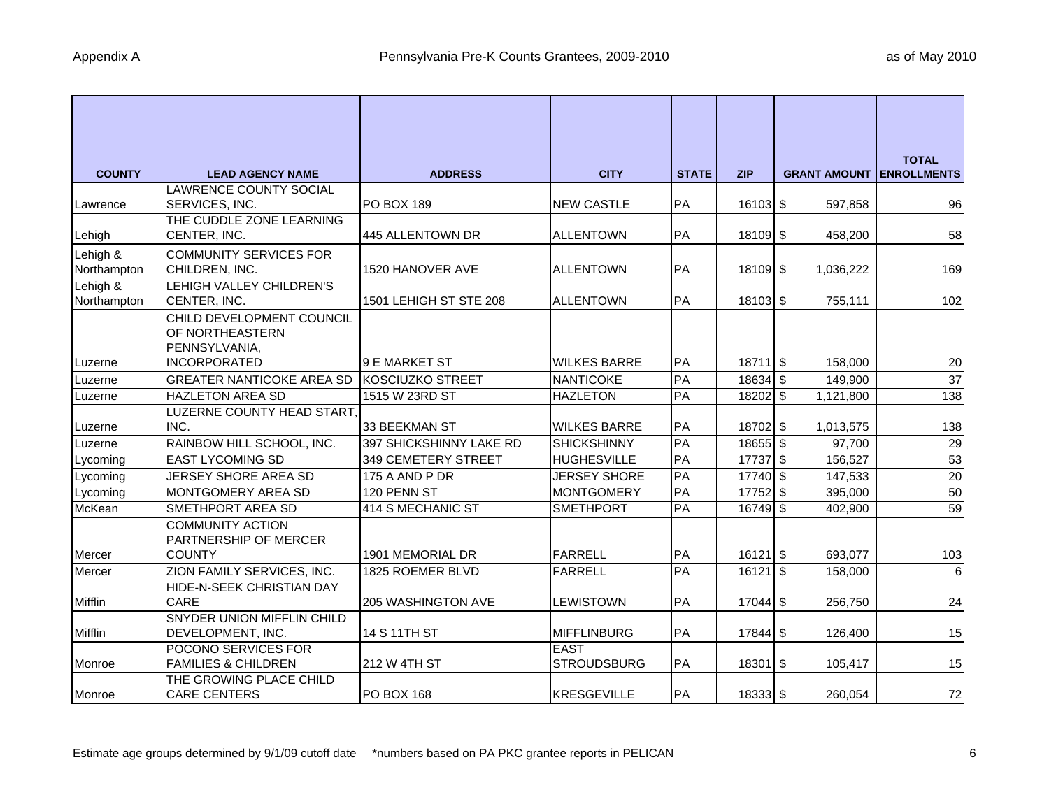| <b>COUNTY</b> |                                                          | <b>ADDRESS</b>             | <b>CITY</b>         | <b>STATE</b> | <b>ZIP</b> | <b>GRANT AMOUNT LENROLLMENTS</b> | <b>TOTAL</b>   |
|---------------|----------------------------------------------------------|----------------------------|---------------------|--------------|------------|----------------------------------|----------------|
|               | <b>LEAD AGENCY NAME</b><br><b>LAWRENCE COUNTY SOCIAL</b> |                            |                     |              |            |                                  |                |
| Lawrence      | SERVICES, INC.                                           | <b>PO BOX 189</b>          | <b>NEW CASTLE</b>   | PA           | $16103$ \$ | 597,858                          | 96             |
|               | THE CUDDLE ZONE LEARNING                                 |                            |                     |              |            |                                  |                |
| Lehigh        | CENTER, INC.                                             | 445 ALLENTOWN DR           | <b>ALLENTOWN</b>    | PA           | 18109 \$   | 458,200                          | 58             |
| Lehigh &      | <b>COMMUNITY SERVICES FOR</b>                            |                            |                     |              |            |                                  |                |
| Northampton   | CHILDREN, INC.                                           | 1520 HANOVER AVE           | <b>ALLENTOWN</b>    | PA           | 18109 \$   | 1,036,222                        | 169            |
| Lehigh &      | LEHIGH VALLEY CHILDREN'S                                 |                            |                     |              |            |                                  |                |
| Northampton   | CENTER, INC.                                             | 1501 LEHIGH ST STE 208     | <b>ALLENTOWN</b>    | PA           | $18103$ \$ | 755,111                          | 102            |
|               | CHILD DEVELOPMENT COUNCIL                                |                            |                     |              |            |                                  |                |
|               | OF NORTHEASTERN                                          |                            |                     |              |            |                                  |                |
| Luzerne       | PENNSYLVANIA,<br><b>INCORPORATED</b>                     | 9 E MARKET ST              | <b>WILKES BARRE</b> | PA           | $18711$ \$ | 158,000                          | 20             |
| Luzerne       | <b>GREATER NANTICOKE AREA SD</b>                         | <b>KOSCIUZKO STREET</b>    | <b>NANTICOKE</b>    | PA           | 18634 \$   | 149,900                          | 37             |
| Luzerne       | <b>HAZLETON AREA SD</b>                                  | 1515 W 23RD ST             | <b>HAZLETON</b>     | PA           | $18202$ \$ | 1,121,800                        | 138            |
|               | LUZERNE COUNTY HEAD START,                               |                            |                     |              |            |                                  |                |
| Luzerne       | INC.                                                     | 33 BEEKMAN ST              | <b>WILKES BARRE</b> | PA           | 18702 \$   | 1,013,575                        | 138            |
| Luzerne       | RAINBOW HILL SCHOOL, INC.                                | 397 SHICKSHINNY LAKE RD    | <b>SHICKSHINNY</b>  | PA           | $18655$ \$ | 97,700                           | 29             |
| Lycoming      | <b>EAST LYCOMING SD</b>                                  | <b>349 CEMETERY STREET</b> | <b>HUGHESVILLE</b>  | PA           | 17737 \$   | 156,527                          | 53             |
| Lycoming      | <b>JERSEY SHORE AREA SD</b>                              | 175 A AND P DR             | <b>JERSEY SHORE</b> | PA           | 17740 \$   | 147,533                          | 20             |
| Lycoming      | <b>MONTGOMERY AREA SD</b>                                | 120 PENN ST                | <b>MONTGOMERY</b>   | PA           | 17752 \$   | 395,000                          | 50             |
| McKean        | <b>SMETHPORT AREA SD</b>                                 | 414 S MECHANIC ST          | <b>SMETHPORT</b>    | PA           | $16749$ \$ | 402,900                          | 59             |
|               | <b>COMMUNITY ACTION</b>                                  |                            |                     |              |            |                                  |                |
|               | PARTNERSHIP OF MERCER                                    |                            |                     |              |            |                                  |                |
| Mercer        | <b>COUNTY</b>                                            | 1901 MEMORIAL DR           | <b>FARRELL</b>      | PA           | $16121$ \$ | 693,077                          | 103            |
| Mercer        | ZION FAMILY SERVICES, INC.                               | 1825 ROEMER BLVD           | <b>FARRELL</b>      | PA           | $16121$ \$ | 158,000                          | $\overline{6}$ |
| Mifflin       | HIDE-N-SEEK CHRISTIAN DAY<br><b>CARE</b>                 | <b>205 WASHINGTON AVE</b>  | LEWISTOWN           | PA           | $17044$ \$ | 256,750                          | 24             |
|               | SNYDER UNION MIFFLIN CHILD                               |                            |                     |              |            |                                  |                |
| Mifflin       | DEVELOPMENT, INC.                                        | 14 S 11TH ST               | <b>MIFFLINBURG</b>  | PA           | 17844 \$   | 126,400                          | 15             |
|               | POCONO SERVICES FOR                                      |                            | <b>EAST</b>         |              |            |                                  |                |
| Monroe        | <b>FAMILIES &amp; CHILDREN</b>                           | 212 W 4TH ST               | <b>STROUDSBURG</b>  | PA           | 18301 \$   | 105,417                          | 15             |
|               | THE GROWING PLACE CHILD                                  |                            |                     |              |            |                                  |                |
| Monroe        | <b>CARE CENTERS</b>                                      | <b>PO BOX 168</b>          | <b>KRESGEVILLE</b>  | PA           | 18333 \$   | 260,054                          | 72             |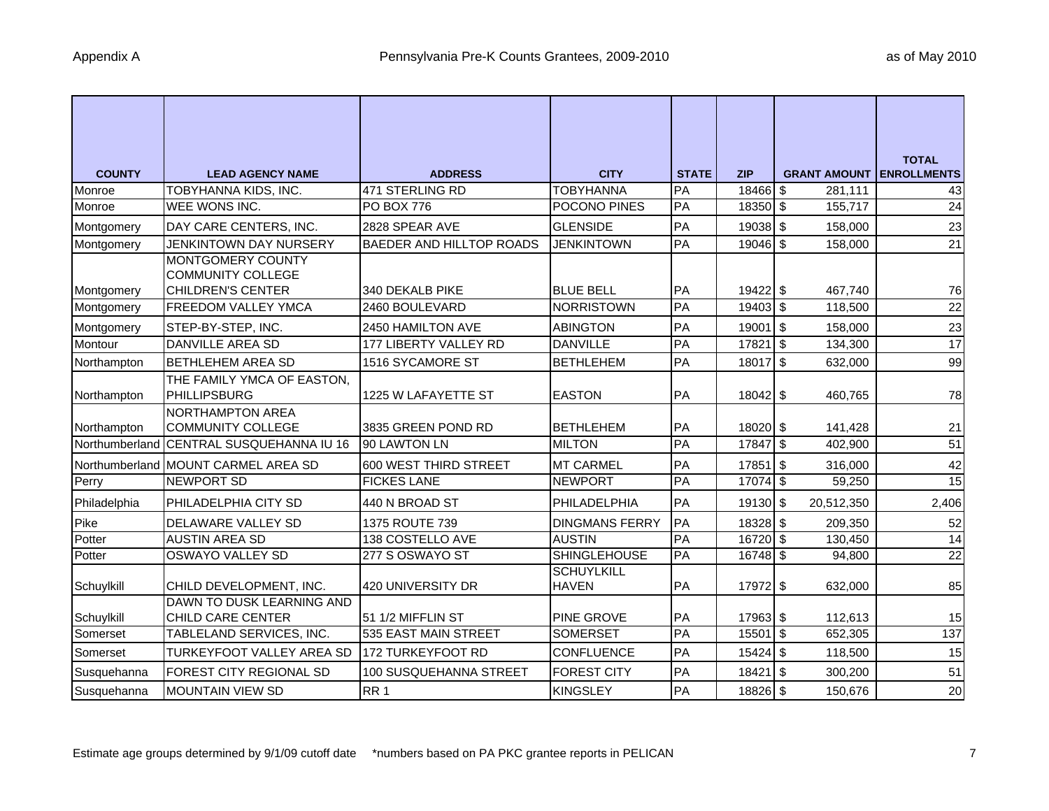|                               |                                                      |                                 |                                   |              |            |                                  | <b>TOTAL</b>    |
|-------------------------------|------------------------------------------------------|---------------------------------|-----------------------------------|--------------|------------|----------------------------------|-----------------|
| <b>COUNTY</b>                 | <b>LEAD AGENCY NAME</b>                              | <b>ADDRESS</b>                  | <b>CITY</b>                       | <b>STATE</b> | <b>ZIP</b> | <b>GRANT AMOUNT LENROLLMENTS</b> |                 |
| Monroe                        | TOBYHANNA KIDS, INC.                                 | 471 STERLING RD                 | <b>TOBYHANNA</b>                  | PA           | 18466 \$   | 281,111                          | 43              |
| Monroe                        | WEE WONS INC.                                        | <b>PO BOX 776</b>               | POCONO PINES                      | PA           | $18350$ \$ | 155,717                          | $\overline{24}$ |
| Montgomery                    | DAY CARE CENTERS, INC.                               | 2828 SPEAR AVE                  | <b>GLENSIDE</b>                   | PA           | 19038 \$   | 158,000                          | 23              |
| Montgomery                    | JENKINTOWN DAY NURSERY                               | <b>BAEDER AND HILLTOP ROADS</b> | <b>JENKINTOWN</b>                 | PA           | 19046 \$   | 158,000                          | 21              |
|                               | <b>MONTGOMERY COUNTY</b><br><b>COMMUNITY COLLEGE</b> |                                 |                                   |              |            |                                  |                 |
| Montgomery                    | <b>CHILDREN'S CENTER</b>                             | 340 DEKALB PIKE                 | <b>BLUE BELL</b>                  | PA           | 19422 \$   | 467,740                          | 76              |
| Montgomery                    | <b>FREEDOM VALLEY YMCA</b>                           | 2460 BOULEVARD                  | <b>NORRISTOWN</b>                 | PA           | 19403 \$   | 118,500                          | 22              |
| Montgomery                    | STEP-BY-STEP, INC.                                   | 2450 HAMILTON AVE               | <b>ABINGTON</b>                   | PA           | 19001 \$   | 158,000                          | 23              |
| Montour                       | <b>DANVILLE AREA SD</b>                              | 177 LIBERTY VALLEY RD           | <b>DANVILLE</b>                   | PA           | 17821      | $\overline{1s}$<br>134,300       | 17              |
| Northampton                   | <b>BETHLEHEM AREA SD</b>                             | 1516 SYCAMORE ST                | <b>BETHLEHEM</b>                  | PA           | 18017 \$   | 632,000                          | 99              |
| Northampton                   | THE FAMILY YMCA OF EASTON,<br><b>PHILLIPSBURG</b>    | 1225 W LAFAYETTE ST             | <b>EASTON</b>                     | PA           | 18042 \$   | 460,765                          | 78              |
|                               | <b>NORTHAMPTON AREA</b><br><b>COMMUNITY COLLEGE</b>  | 3835 GREEN POND RD              | <b>BETHLEHEM</b>                  | PA           | 18020 \$   |                                  |                 |
| Northampton<br>Northumberland | CENTRAL SUSQUEHANNA IU 16                            | 90 LAWTON LN                    | <b>MILTON</b>                     | PA           | 17847 \$   | 141,428<br>402,900               | 21<br>51        |
|                               |                                                      |                                 |                                   |              |            |                                  |                 |
|                               | Northumberland MOUNT CARMEL AREA SD                  | 600 WEST THIRD STREET           | <b>MT CARMEL</b>                  | PA           | 17851 \$   | 316,000                          | 42              |
| Perry                         | <b>NEWPORT SD</b>                                    | <b>FICKES LANE</b>              | <b>NEWPORT</b>                    | PA           | $17074$ \$ | 59,250                           | 15              |
| Philadelphia                  | PHILADELPHIA CITY SD                                 | 440 N BROAD ST                  | PHILADELPHIA                      | PA           | 19130 \$   | 20,512,350                       | 2,406           |
| Pike                          | DELAWARE VALLEY SD                                   | 1375 ROUTE 739                  | <b>DINGMANS FERRY</b>             | PA           | 18328 \$   | 209,350                          | 52              |
| Potter                        | <b>AUSTIN AREA SD</b>                                | 138 COSTELLO AVE                | <b>AUSTIN</b>                     | PA           | 16720 \$   | 130,450                          | 14              |
| Potter                        | <b>OSWAYO VALLEY SD</b>                              | 277 S OSWAYO ST                 | <b>SHINGLEHOUSE</b>               | PA           | 16748 \$   | 94,800                           | $\overline{22}$ |
| Schuylkill                    | CHILD DEVELOPMENT, INC.                              | 420 UNIVERSITY DR               | <b>SCHUYLKILL</b><br><b>HAVEN</b> | PA           | 17972 \$   | 632,000                          | 85              |
| Schuylkill                    | DAWN TO DUSK LEARNING AND<br>CHILD CARE CENTER       | 51 1/2 MIFFLIN ST               | <b>PINE GROVE</b>                 | PA           | 17963 \$   | 112,613                          | 15              |
| Somerset                      | TABLELAND SERVICES, INC.                             | 535 EAST MAIN STREET            | <b>SOMERSET</b>                   | PA           | 15501      | $\sqrt{3}$<br>652,305            | 137             |
| Somerset                      | <b>TURKEYFOOT VALLEY AREA SD</b>                     | 172 TURKEYFOOT RD               | <b>CONFLUENCE</b>                 | PA           | 15424 \$   | 118,500                          | 15              |
| Susquehanna                   | <b>FOREST CITY REGIONAL SD</b>                       | 100 SUSQUEHANNA STREET          | <b>FOREST CITY</b>                | PA           | $18421$ \$ | 300,200                          | 51              |
| Susquehanna                   | <b>MOUNTAIN VIEW SD</b>                              | RR <sub>1</sub>                 | <b>KINGSLEY</b>                   | PA           | 18826 \$   | 150,676                          | 20              |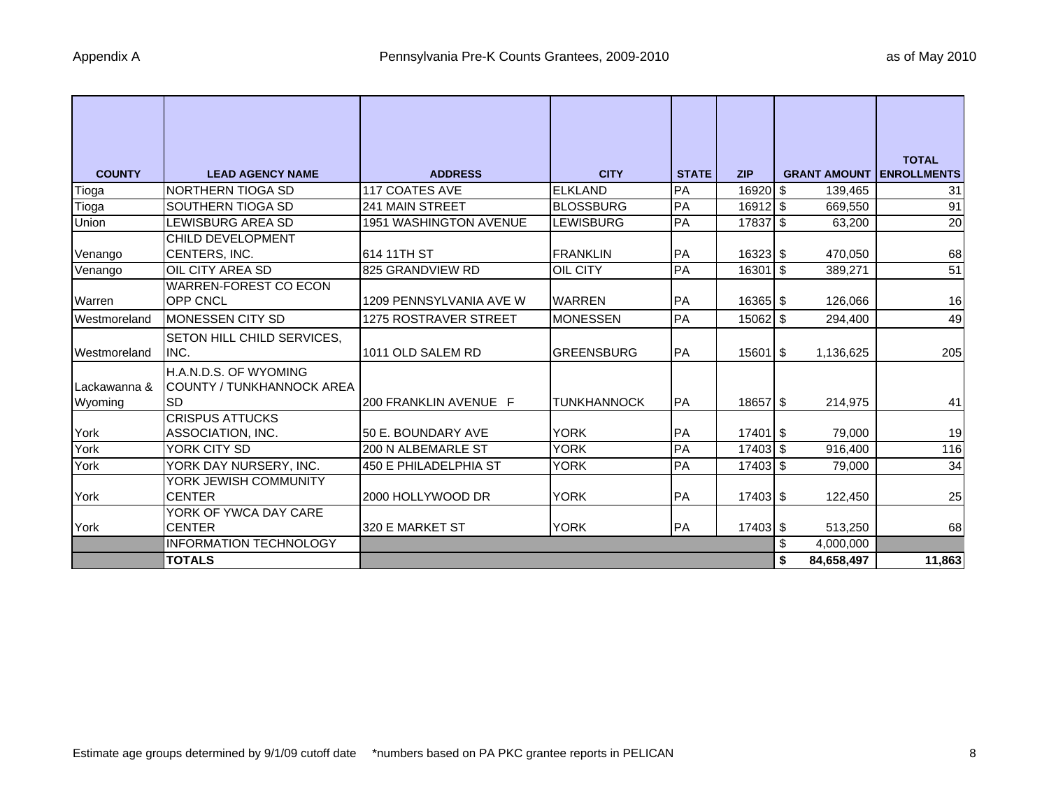| <b>COUNTY</b>           | <b>LEAD AGENCY NAME</b>                                   | <b>ADDRESS</b>               | <b>CITY</b>        | <b>STATE</b> | <b>ZIP</b>            | <b>GRANT AMOUNT</b> | <b>TOTAL</b><br><b>ENROLLMENTS</b> |
|-------------------------|-----------------------------------------------------------|------------------------------|--------------------|--------------|-----------------------|---------------------|------------------------------------|
| Tioga                   | INORTHERN TIOGA SD                                        | <b>117 COATES AVE</b>        | <b>ELKLAND</b>     | PA           | $16920$ \$            | 139,465             | 31                                 |
| Tioga                   | SOUTHERN TIOGA SD                                         | <b>241 MAIN STREET</b>       | <b>BLOSSBURG</b>   | PA           | $16912$ \$            | 669,550             | 91                                 |
| Union                   | LEWISBURG AREA SD                                         | 1951 WASHINGTON AVENUE       | LEWISBURG          | PA           | 17837 \$              | 63,200              | 20                                 |
| Venango                 | CHILD DEVELOPMENT<br>CENTERS, INC.                        | 614 11TH ST                  | <b>FRANKLIN</b>    | <b>PA</b>    | $16323$ \$            | 470,050             | 68                                 |
| Venango                 | <b>OIL CITY AREA SD</b>                                   | 825 GRANDVIEW RD             | <b>OIL CITY</b>    | PA           | $16301$ \$            | 389,271             | 51                                 |
| Warren                  | <b>WARREN-FOREST CO ECON</b><br><b>OPP CNCL</b>           | 1209 PENNSYLVANIA AVE W      | <b>WARREN</b>      | PA           | 16365 \$              | 126,066             | 16                                 |
| Westmoreland            | <b>MONESSEN CITY SD</b>                                   | <b>1275 ROSTRAVER STREET</b> | <b>MONESSEN</b>    | PA           | 15062 \$              | 294,400             | 49                                 |
| Westmoreland            | <b>SETON HILL CHILD SERVICES,</b><br>INC.                 | 1011 OLD SALEM RD            | <b>IGREENSBURG</b> | PA           | $15601$ $\sqrt{3}$    | 1,136,625           | 205                                |
| Lackawanna &<br>Wyoming | H.A.N.D.S. OF WYOMING<br>COUNTY / TUNKHANNOCK AREA<br>ISD | 200 FRANKLIN AVENUE F        | <b>TUNKHANNOCK</b> | PA           | 18657 \$              | 214,975             | 41                                 |
| York                    | <b>CRISPUS ATTUCKS</b><br>ASSOCIATION, INC.               | 50 E. BOUNDARY AVE           | <b>YORK</b>        | PA           | $17401$ $\frac{1}{3}$ | 79,000              | 19                                 |
| York                    | YORK CITY SD                                              | 200 N ALBEMARLE ST           | <b>YORK</b>        | PA           | 17403 \$              | 916,400             | 116                                |
| York                    | YORK DAY NURSERY, INC.                                    | 450 E PHILADELPHIA ST        | <b>YORK</b>        | PA           | 17403 \$              | 79,000              | 34                                 |
| York                    | YORK JEWISH COMMUNITY<br><b>CENTER</b>                    | 2000 HOLLYWOOD DR            | <b>YORK</b>        | <b>PA</b>    | 17403 \$              | 122,450             | 25                                 |
| York                    | YORK OF YWCA DAY CARE<br><b>CENTER</b>                    | 320 E MARKET ST              | <b>YORK</b>        | <b>PA</b>    | 17403 \$              | 513,250             | 68                                 |
|                         | <b>INFORMATION TECHNOLOGY</b>                             |                              |                    |              |                       | \$<br>4,000,000     |                                    |
|                         | <b>TOTALS</b>                                             |                              |                    |              |                       | \$<br>84,658,497    | 11,863                             |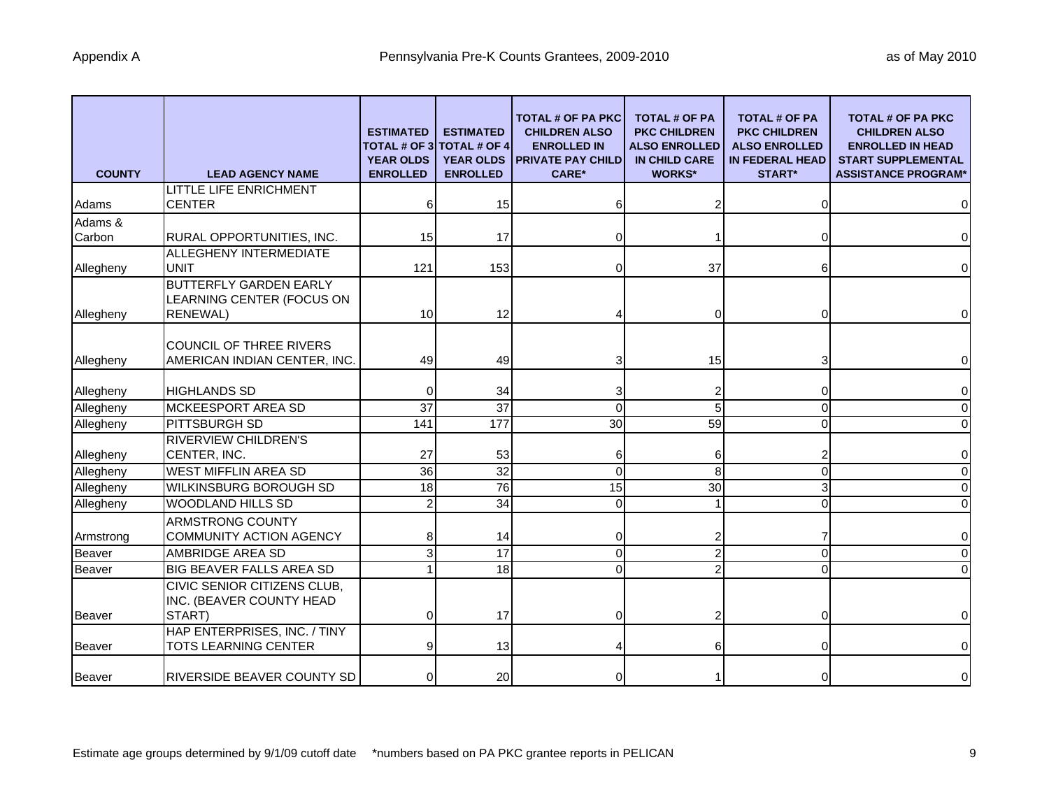| <b>COUNTY</b> | <b>LEAD AGENCY NAME</b>                                                       | <b>ESTIMATED</b><br><b>TOTAL # OF 3</b><br><b>YEAR OLDS</b><br><b>ENROLLED</b> | <b>ESTIMATED</b><br><b>TOTAL # OF 4</b><br><b>YEAR OLDS</b><br><b>ENROLLED</b> | <b>TOTAL # OF PA PKC</b><br><b>CHILDREN ALSO</b><br><b>ENROLLED IN</b><br><b>PRIVATE PAY CHILD</b><br><b>CARE*</b> | <b>TOTAL # OF PA</b><br><b>PKC CHILDREN</b><br><b>ALSO ENROLLED</b><br><b>IN CHILD CARE</b><br><b>WORKS*</b> | <b>TOTAL # OF PA</b><br><b>PKC CHILDREN</b><br><b>ALSO ENROLLED</b><br><b>IN FEDERAL HEAD</b><br><b>START*</b> | <b>TOTAL # OF PA PKC</b><br><b>CHILDREN ALSO</b><br><b>ENROLLED IN HEAD</b><br><b>START SUPPLEMENTAL</b><br><b>ASSISTANCE PROGRAM*</b> |
|---------------|-------------------------------------------------------------------------------|--------------------------------------------------------------------------------|--------------------------------------------------------------------------------|--------------------------------------------------------------------------------------------------------------------|--------------------------------------------------------------------------------------------------------------|----------------------------------------------------------------------------------------------------------------|----------------------------------------------------------------------------------------------------------------------------------------|
|               | <b>LITTLE LIFE ENRICHMENT</b>                                                 |                                                                                |                                                                                |                                                                                                                    |                                                                                                              |                                                                                                                |                                                                                                                                        |
| Adams         | <b>CENTER</b>                                                                 |                                                                                | 15                                                                             |                                                                                                                    |                                                                                                              |                                                                                                                | $\pmb{0}$                                                                                                                              |
| Adams &       |                                                                               |                                                                                |                                                                                |                                                                                                                    |                                                                                                              |                                                                                                                |                                                                                                                                        |
| Carbon        | RURAL OPPORTUNITIES, INC.                                                     | 15                                                                             | 17                                                                             |                                                                                                                    |                                                                                                              |                                                                                                                | $\pmb{0}$                                                                                                                              |
|               | ALLEGHENY INTERMEDIATE                                                        |                                                                                |                                                                                |                                                                                                                    |                                                                                                              |                                                                                                                |                                                                                                                                        |
| Allegheny     | <b>UNIT</b>                                                                   | 121                                                                            | 153                                                                            |                                                                                                                    | 37                                                                                                           | 6                                                                                                              | $\pmb{0}$                                                                                                                              |
| Allegheny     | <b>BUTTERFLY GARDEN EARLY</b><br>LEARNING CENTER (FOCUS ON<br><b>RENEWAL)</b> | 10                                                                             | 12                                                                             |                                                                                                                    | 0                                                                                                            |                                                                                                                | $\mathbf 0$                                                                                                                            |
| Allegheny     | <b>COUNCIL OF THREE RIVERS</b><br>AMERICAN INDIAN CENTER, INC.                | 49                                                                             | 49                                                                             | 3                                                                                                                  | 15                                                                                                           | 3                                                                                                              | $\mathsf 0$                                                                                                                            |
| Allegheny     | <b>HIGHLANDS SD</b>                                                           |                                                                                | 34                                                                             |                                                                                                                    |                                                                                                              | 0                                                                                                              | $\pmb{0}$                                                                                                                              |
| Allegheny     | <b>MCKEESPORT AREA SD</b>                                                     | 37                                                                             | $\overline{37}$                                                                | 0                                                                                                                  | 5                                                                                                            | 0                                                                                                              | $\pmb{0}$                                                                                                                              |
| Allegheny     | PITTSBURGH SD                                                                 | 141                                                                            | 177                                                                            | 30                                                                                                                 | 59                                                                                                           | $\Omega$                                                                                                       | $\mathbf 0$                                                                                                                            |
| Allegheny     | <b>RIVERVIEW CHILDREN'S</b><br>CENTER, INC.                                   | 27                                                                             | 53                                                                             | 6                                                                                                                  | 6                                                                                                            | 2                                                                                                              | $\mathbf 0$                                                                                                                            |
| Allegheny     | <b>WEST MIFFLIN AREA SD</b>                                                   | $\overline{36}$                                                                | $\overline{32}$                                                                | $\Omega$                                                                                                           | 8                                                                                                            | $\Omega$                                                                                                       | $\mathbf 0$                                                                                                                            |
| Allegheny     | <b>WILKINSBURG BOROUGH SD</b>                                                 | 18                                                                             | $\overline{76}$                                                                | 15                                                                                                                 | 30                                                                                                           | 3                                                                                                              | $\mathbf 0$                                                                                                                            |
| Allegheny     | <b>WOODLAND HILLS SD</b>                                                      |                                                                                | 34                                                                             | 0                                                                                                                  |                                                                                                              |                                                                                                                | $\mathbf 0$                                                                                                                            |
| Armstrong     | ARMSTRONG COUNTY<br><b>COMMUNITY ACTION AGENCY</b>                            |                                                                                | 14                                                                             |                                                                                                                    |                                                                                                              |                                                                                                                | $\pmb{0}$                                                                                                                              |
| Beaver        | AMBRIDGE AREA SD                                                              |                                                                                | 17                                                                             | 0                                                                                                                  | 2                                                                                                            | $\Omega$                                                                                                       | $\mathbf 0$                                                                                                                            |
| Beaver        | BIG BEAVER FALLS AREA SD                                                      |                                                                                | $\frac{1}{8}$                                                                  | 0                                                                                                                  | 2                                                                                                            | $\Omega$                                                                                                       | $\mathbf 0$                                                                                                                            |
|               | CIVIC SENIOR CITIZENS CLUB,<br>INC. (BEAVER COUNTY HEAD                       |                                                                                |                                                                                |                                                                                                                    |                                                                                                              |                                                                                                                |                                                                                                                                        |
| Beaver        | START)                                                                        | $\Omega$                                                                       | 17                                                                             |                                                                                                                    |                                                                                                              | 0                                                                                                              | $\pmb{0}$                                                                                                                              |
| Beaver        | HAP ENTERPRISES, INC. / TINY<br><b>TOTS LEARNING CENTER</b>                   |                                                                                | 13                                                                             |                                                                                                                    |                                                                                                              |                                                                                                                | $\pmb{0}$                                                                                                                              |
| <b>Beaver</b> | <b>RIVERSIDE BEAVER COUNTY SD</b>                                             |                                                                                | 20                                                                             | 0                                                                                                                  |                                                                                                              |                                                                                                                | $\pmb{0}$                                                                                                                              |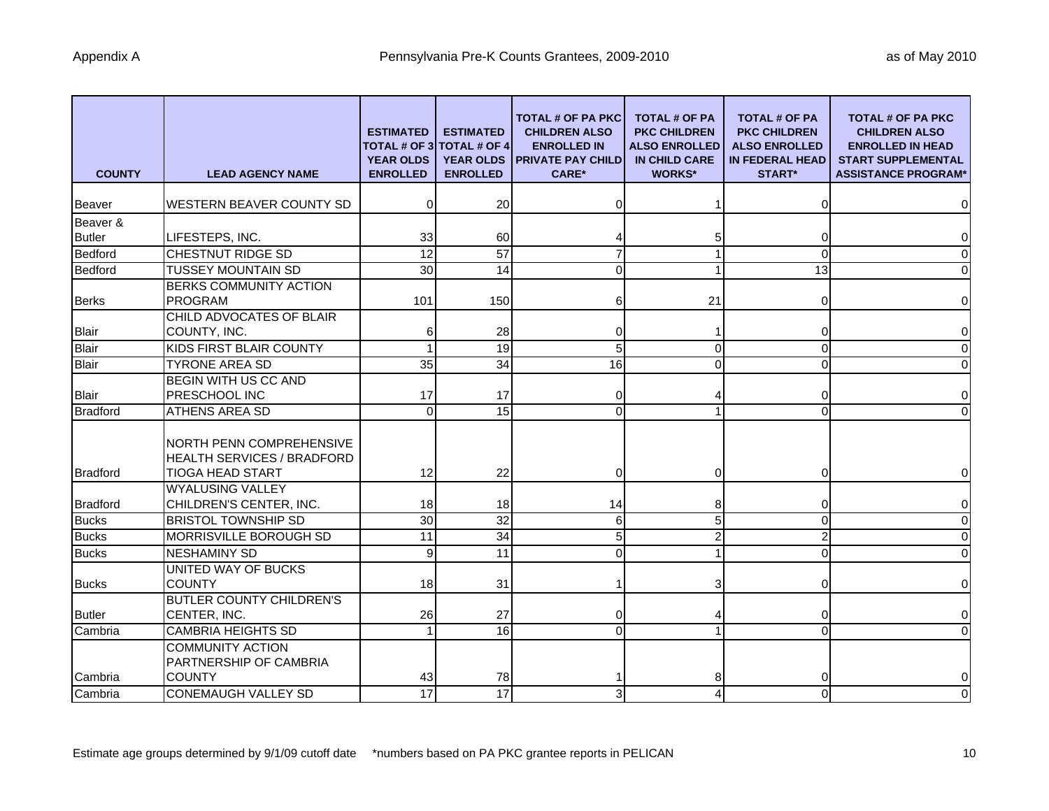| <b>COUNTY</b>   | <b>LEAD AGENCY NAME</b>                                                                  | <b>ESTIMATED</b><br><b>YEAR OLDS</b><br><b>ENROLLED</b> | <b>ESTIMATED</b><br><b>TOTAL # OF 3 TOTAL # OF 4</b><br><b>YEAR OLDS</b><br><b>ENROLLED</b> | <b>TOTAL # OF PA PKC</b><br><b>CHILDREN ALSO</b><br><b>ENROLLED IN</b><br><b>PRIVATE PAY CHILD</b><br><b>CARE*</b> | <b>TOTAL # OF PA</b><br><b>PKC CHILDREN</b><br><b>ALSO ENROLLED</b><br>IN CHILD CARE<br><b>WORKS*</b> | <b>TOTAL # OF PA</b><br><b>PKC CHILDREN</b><br><b>ALSO ENROLLED</b><br><b>IN FEDERAL HEAD</b><br><b>START*</b> | TOTAL # OF PA PKC<br><b>CHILDREN ALSO</b><br><b>ENROLLED IN HEAD</b><br><b>START SUPPLEMENTAL</b><br><b>ASSISTANCE PROGRAM*</b> |
|-----------------|------------------------------------------------------------------------------------------|---------------------------------------------------------|---------------------------------------------------------------------------------------------|--------------------------------------------------------------------------------------------------------------------|-------------------------------------------------------------------------------------------------------|----------------------------------------------------------------------------------------------------------------|---------------------------------------------------------------------------------------------------------------------------------|
| <b>Beaver</b>   | WESTERN BEAVER COUNTY SD                                                                 | 0                                                       | 20                                                                                          | O                                                                                                                  |                                                                                                       | $\Omega$                                                                                                       | $\mathbf 0$                                                                                                                     |
| Beaver &        |                                                                                          |                                                         |                                                                                             |                                                                                                                    |                                                                                                       |                                                                                                                |                                                                                                                                 |
| <b>Butler</b>   | LIFESTEPS, INC.                                                                          | 33                                                      | 60                                                                                          |                                                                                                                    |                                                                                                       | 0                                                                                                              | $\pmb{0}$                                                                                                                       |
| <b>Bedford</b>  | CHESTNUT RIDGE SD                                                                        | 12                                                      | 57                                                                                          | 7                                                                                                                  |                                                                                                       | $\Omega$                                                                                                       | $\mathbf 0$                                                                                                                     |
| Bedford         | <b>TUSSEY MOUNTAIN SD</b>                                                                | 30                                                      | 14                                                                                          | 0                                                                                                                  |                                                                                                       | 13                                                                                                             | $\mathbf 0$                                                                                                                     |
| <b>Berks</b>    | <b>BERKS COMMUNITY ACTION</b><br><b>PROGRAM</b>                                          | 101                                                     | 150                                                                                         | 6                                                                                                                  | 21                                                                                                    |                                                                                                                | $\mathbf 0$                                                                                                                     |
|                 | CHILD ADVOCATES OF BLAIR                                                                 |                                                         |                                                                                             |                                                                                                                    |                                                                                                       |                                                                                                                |                                                                                                                                 |
| <b>Blair</b>    | COUNTY, INC.                                                                             |                                                         | 28                                                                                          | 0                                                                                                                  |                                                                                                       | 0                                                                                                              | $\mathbf 0$                                                                                                                     |
| <b>Blair</b>    | KIDS FIRST BLAIR COUNTY                                                                  |                                                         | 19                                                                                          | 5                                                                                                                  | $\Omega$                                                                                              | $\Omega$                                                                                                       | $\mathbf 0$                                                                                                                     |
| <b>Blair</b>    | <b>TYRONE AREA SD</b>                                                                    | 35                                                      | 34                                                                                          | 16                                                                                                                 | 0                                                                                                     | $\Omega$                                                                                                       | $\mathbf 0$                                                                                                                     |
| <b>Blair</b>    | BEGIN WITH US CC AND<br>PRESCHOOL INC                                                    | 17                                                      | 17                                                                                          | 0                                                                                                                  |                                                                                                       | 0                                                                                                              | $\mathbf 0$                                                                                                                     |
| <b>Bradford</b> | <b>ATHENS AREA SD</b>                                                                    | $\Omega$                                                | $\overline{15}$                                                                             | $\Omega$                                                                                                           |                                                                                                       | $\Omega$                                                                                                       | $\Omega$                                                                                                                        |
| <b>Bradford</b> | NORTH PENN COMPREHENSIVE<br><b>HEALTH SERVICES / BRADFORD</b><br><b>TIOGA HEAD START</b> | 12                                                      | 22                                                                                          | 0                                                                                                                  | $\Omega$                                                                                              | 0                                                                                                              | $\pmb{0}$                                                                                                                       |
|                 | <b>WYALUSING VALLEY</b>                                                                  |                                                         |                                                                                             |                                                                                                                    |                                                                                                       |                                                                                                                |                                                                                                                                 |
| <b>Bradford</b> | CHILDREN'S CENTER, INC.                                                                  | 18                                                      | 18                                                                                          | 14                                                                                                                 | 8                                                                                                     | 0                                                                                                              | $\pmb{0}$                                                                                                                       |
| <b>Bucks</b>    | <b>BRISTOL TOWNSHIP SD</b>                                                               | 30                                                      | 32                                                                                          | 6                                                                                                                  | 5                                                                                                     | $\Omega$                                                                                                       | $\mathbf 0$                                                                                                                     |
| <b>Bucks</b>    | MORRISVILLE BOROUGH SD                                                                   | 11                                                      | 34                                                                                          | 5                                                                                                                  |                                                                                                       | $\overline{2}$                                                                                                 | $\pmb{0}$                                                                                                                       |
| <b>Bucks</b>    | <b>NESHAMINY SD</b>                                                                      | 9                                                       | 11                                                                                          | 0                                                                                                                  |                                                                                                       | $\Omega$                                                                                                       | $\pmb{0}$                                                                                                                       |
| <b>Bucks</b>    | UNITED WAY OF BUCKS<br><b>COUNTY</b>                                                     | 18                                                      | 31                                                                                          |                                                                                                                    |                                                                                                       | 0                                                                                                              | $\overline{0}$                                                                                                                  |
| <b>Butler</b>   | BUTLER COUNTY CHILDREN'S<br>CENTER, INC.                                                 | 26                                                      | 27                                                                                          | ი                                                                                                                  |                                                                                                       | 0                                                                                                              | $\pmb{0}$                                                                                                                       |
| Cambria         | <b>CAMBRIA HEIGHTS SD</b>                                                                |                                                         | 16                                                                                          | 0                                                                                                                  |                                                                                                       | $\Omega$                                                                                                       | $\Omega$                                                                                                                        |
| Cambria         | <b>COMMUNITY ACTION</b><br>PARTNERSHIP OF CAMBRIA<br><b>COUNTY</b>                       | 43                                                      | 78                                                                                          |                                                                                                                    | 8                                                                                                     |                                                                                                                | $\pmb{0}$                                                                                                                       |
| Cambria         | <b>CONEMAUGH VALLEY SD</b>                                                               | $\overline{17}$                                         | $\overline{17}$                                                                             | 3                                                                                                                  |                                                                                                       | $\Omega$                                                                                                       | $\mathbf 0$                                                                                                                     |
|                 |                                                                                          |                                                         |                                                                                             |                                                                                                                    |                                                                                                       |                                                                                                                |                                                                                                                                 |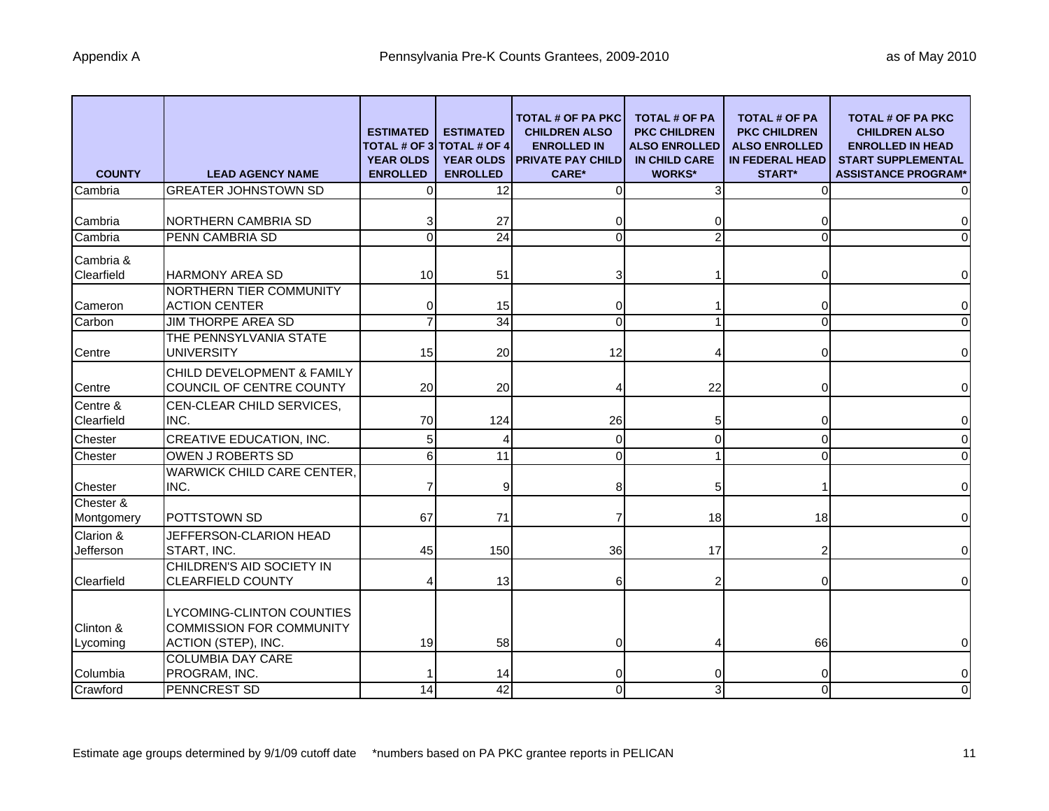| <b>COUNTY</b>           | <b>LEAD AGENCY NAME</b>                                                                    | <b>ESTIMATED</b><br><b>TOTAL # OF 3</b><br><b>YEAR OLDS</b><br><b>ENROLLED</b> | <b>ESTIMATED</b><br><b>TOTAL # OF 4</b><br><b>YEAR OLDS</b><br><b>ENROLLED</b> | <b>TOTAL # OF PA PKC</b><br><b>CHILDREN ALSO</b><br><b>ENROLLED IN</b><br><b>PRIVATE PAY CHILD</b><br><b>CARE*</b> | <b>TOTAL # OF PA</b><br><b>PKC CHILDREN</b><br><b>ALSO ENROLLED</b><br><b>IN CHILD CARE</b><br><b>WORKS*</b> | <b>TOTAL # OF PA</b><br><b>PKC CHILDREN</b><br><b>ALSO ENROLLED</b><br><b>IN FEDERAL HEAD</b><br><b>START*</b> | <b>TOTAL # OF PA PKC</b><br><b>CHILDREN ALSO</b><br><b>ENROLLED IN HEAD</b><br><b>START SUPPLEMENTAL</b><br><b>ASSISTANCE PROGRAM*</b> |
|-------------------------|--------------------------------------------------------------------------------------------|--------------------------------------------------------------------------------|--------------------------------------------------------------------------------|--------------------------------------------------------------------------------------------------------------------|--------------------------------------------------------------------------------------------------------------|----------------------------------------------------------------------------------------------------------------|----------------------------------------------------------------------------------------------------------------------------------------|
| Cambria                 | <b>GREATER JOHNSTOWN SD</b>                                                                | $\Omega$                                                                       | 12                                                                             | 0                                                                                                                  |                                                                                                              | 0                                                                                                              | $\overline{0}$                                                                                                                         |
| Cambria                 | <b>NORTHERN CAMBRIA SD</b>                                                                 |                                                                                | 27                                                                             |                                                                                                                    |                                                                                                              | 0                                                                                                              | $\overline{0}$                                                                                                                         |
| Cambria                 | PENN CAMBRIA SD                                                                            | $\Omega$                                                                       | 24                                                                             | $\Omega$                                                                                                           |                                                                                                              | $\Omega$                                                                                                       | $\Omega$                                                                                                                               |
| Cambria &<br>Clearfield | <b>HARMONY AREA SD</b>                                                                     | 10                                                                             | 51                                                                             | з                                                                                                                  |                                                                                                              | 0                                                                                                              | $\overline{0}$                                                                                                                         |
| Cameron                 | NORTHERN TIER COMMUNITY<br><b>ACTION CENTER</b>                                            | 0                                                                              | 15                                                                             |                                                                                                                    |                                                                                                              | 0                                                                                                              | $\overline{0}$                                                                                                                         |
| Carbon                  | <b>JIM THORPE AREA SD</b>                                                                  |                                                                                | 34                                                                             | 0                                                                                                                  |                                                                                                              | 0                                                                                                              | $\overline{0}$                                                                                                                         |
| Centre                  | THE PENNSYLVANIA STATE<br><b>UNIVERSITY</b>                                                | 15                                                                             | 20                                                                             | 12                                                                                                                 |                                                                                                              |                                                                                                                | $\overline{0}$                                                                                                                         |
| Centre                  | CHILD DEVELOPMENT & FAMILY<br>COUNCIL OF CENTRE COUNTY                                     | 20                                                                             | 20                                                                             |                                                                                                                    | 22                                                                                                           | 0                                                                                                              | $\overline{0}$                                                                                                                         |
| Centre &<br>Clearfield  | CEN-CLEAR CHILD SERVICES,<br>INC.                                                          | 70                                                                             | 124                                                                            | 26                                                                                                                 | 5                                                                                                            | 0                                                                                                              | $\overline{0}$                                                                                                                         |
| Chester                 | CREATIVE EDUCATION, INC.                                                                   |                                                                                |                                                                                | 0                                                                                                                  |                                                                                                              | 0                                                                                                              | $\overline{0}$                                                                                                                         |
| Chester                 | OWEN J ROBERTS SD                                                                          | 6                                                                              | 11                                                                             | $\Omega$                                                                                                           |                                                                                                              | $\Omega$                                                                                                       | $\overline{0}$                                                                                                                         |
| Chester                 | <b>WARWICK CHILD CARE CENTER,</b><br>INC.                                                  |                                                                                | 9                                                                              | 8                                                                                                                  | 5                                                                                                            | -1                                                                                                             | $\overline{0}$                                                                                                                         |
| Chester &<br>Montgomery | <b>POTTSTOWN SD</b>                                                                        | 67                                                                             | 71                                                                             | 7                                                                                                                  | 18                                                                                                           | 18                                                                                                             | $\overline{0}$                                                                                                                         |
| Clarion &<br>Jefferson  | JEFFERSON-CLARION HEAD<br><b>START. INC.</b>                                               | 45                                                                             | 150                                                                            | 36                                                                                                                 | 17                                                                                                           | 2                                                                                                              | $\overline{0}$                                                                                                                         |
| Clearfield              | CHILDREN'S AID SOCIETY IN<br>CLEARFIELD COUNTY                                             |                                                                                | 13                                                                             | 6                                                                                                                  |                                                                                                              | 0                                                                                                              | $\overline{0}$                                                                                                                         |
| Clinton &<br>Lycoming   | <b>LYCOMING-CLINTON COUNTIES</b><br><b>COMMISSION FOR COMMUNITY</b><br>ACTION (STEP), INC. | 19                                                                             | 58                                                                             |                                                                                                                    |                                                                                                              | 66                                                                                                             | $\overline{0}$                                                                                                                         |
| Columbia                | <b>COLUMBIA DAY CARE</b><br>PROGRAM, INC.                                                  |                                                                                | 14                                                                             |                                                                                                                    |                                                                                                              | 0                                                                                                              | $\overline{0}$                                                                                                                         |
| Crawford                | PENNCREST SD                                                                               | 14                                                                             | 42                                                                             | 0                                                                                                                  | 3                                                                                                            | $\Omega$                                                                                                       | $\overline{0}$                                                                                                                         |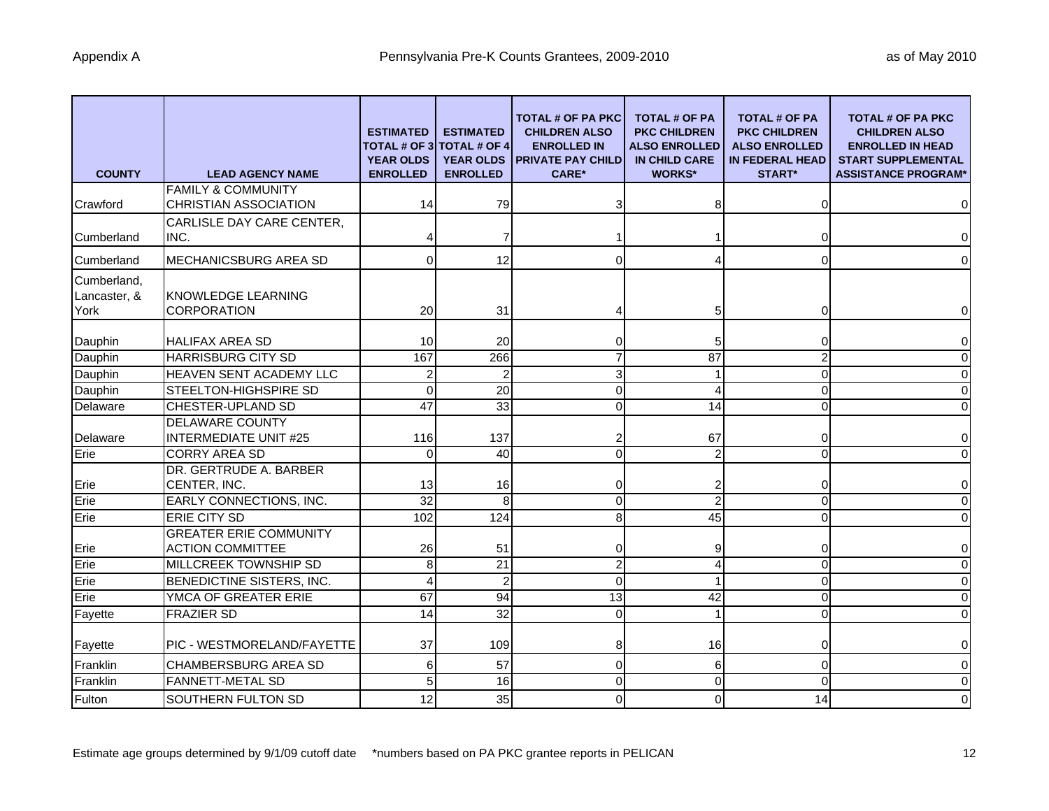| <b>COUNTY</b>                       | <b>LEAD AGENCY NAME</b>                                  | <b>ESTIMATED</b><br>TOTAL # OF 3<br><b>YEAR OLDS</b><br><b>ENROLLED</b> | <b>ESTIMATED</b><br><b>TOTAL # OF 4</b><br><b>YEAR OLDS</b><br><b>ENROLLED</b> | TOTAL # OF PA PKC<br><b>CHILDREN ALSO</b><br><b>ENROLLED IN</b><br><b>PRIVATE PAY CHILD</b><br><b>CARE*</b> | <b>TOTAL # OF PA</b><br><b>PKC CHILDREN</b><br><b>ALSO ENROLLED</b><br><b>IN CHILD CARE</b><br><b>WORKS*</b> | <b>TOTAL # OF PA</b><br><b>PKC CHILDREN</b><br><b>ALSO ENROLLED</b><br><b>IN FEDERAL HEAD</b><br><b>START*</b> | <b>TOTAL # OF PA PKC</b><br><b>CHILDREN ALSO</b><br><b>ENROLLED IN HEAD</b><br><b>START SUPPLEMENTAL</b><br><b>ASSISTANCE PROGRAM*</b> |
|-------------------------------------|----------------------------------------------------------|-------------------------------------------------------------------------|--------------------------------------------------------------------------------|-------------------------------------------------------------------------------------------------------------|--------------------------------------------------------------------------------------------------------------|----------------------------------------------------------------------------------------------------------------|----------------------------------------------------------------------------------------------------------------------------------------|
|                                     | <b>FAMILY &amp; COMMUNITY</b>                            |                                                                         |                                                                                |                                                                                                             |                                                                                                              |                                                                                                                |                                                                                                                                        |
| Crawford                            | <b>CHRISTIAN ASSOCIATION</b>                             | 14                                                                      | 79                                                                             |                                                                                                             |                                                                                                              | $\Omega$                                                                                                       | $\overline{0}$                                                                                                                         |
| <b>Cumberland</b>                   | CARLISLE DAY CARE CENTER,<br>INC.                        |                                                                         | 7                                                                              |                                                                                                             |                                                                                                              | 0                                                                                                              | $\overline{0}$                                                                                                                         |
| Cumberland                          | MECHANICSBURG AREA SD                                    | 0                                                                       | 12                                                                             | 0                                                                                                           |                                                                                                              | 0                                                                                                              | $\overline{0}$                                                                                                                         |
| Cumberland,<br>Lancaster, &<br>York | KNOWLEDGE LEARNING<br><b>CORPORATION</b>                 | 20                                                                      | 31                                                                             |                                                                                                             | 5                                                                                                            | 0                                                                                                              | $\overline{0}$                                                                                                                         |
| Dauphin                             | <b>HALIFAX AREA SD</b>                                   | 10                                                                      | 20                                                                             | ი                                                                                                           | 5                                                                                                            | 0                                                                                                              | $\overline{0}$                                                                                                                         |
| Dauphin                             | HARRISBURG CITY SD                                       | 167                                                                     | 266                                                                            |                                                                                                             | $\overline{87}$                                                                                              | $\overline{2}$                                                                                                 | $\overline{0}$                                                                                                                         |
| Dauphin                             | HEAVEN SENT ACADEMY LLC                                  | $\overline{2}$                                                          | $\overline{c}$                                                                 | 3                                                                                                           |                                                                                                              | 0                                                                                                              | $\overline{0}$                                                                                                                         |
| Dauphin                             | STEELTON-HIGHSPIRE SD                                    | $\Omega$                                                                | $\overline{20}$                                                                | 0                                                                                                           | 4                                                                                                            | $\Omega$                                                                                                       | $\overline{0}$                                                                                                                         |
| Delaware                            | CHESTER-UPLAND SD                                        | $\overline{47}$                                                         | 33                                                                             | 0                                                                                                           | 14                                                                                                           | $\Omega$                                                                                                       | $\overline{0}$                                                                                                                         |
|                                     | <b>DELAWARE COUNTY</b>                                   |                                                                         |                                                                                |                                                                                                             |                                                                                                              |                                                                                                                |                                                                                                                                        |
| Delaware                            | <b>INTERMEDIATE UNIT #25</b>                             | 116                                                                     | 137                                                                            |                                                                                                             | 67                                                                                                           | 0                                                                                                              | $\overline{0}$                                                                                                                         |
| Erie                                | <b>CORRY AREA SD</b>                                     | $\Omega$                                                                | 40                                                                             | 0                                                                                                           | $\overline{2}$                                                                                               | $\Omega$                                                                                                       | $\Omega$                                                                                                                               |
| Erie                                | DR. GERTRUDE A. BARBER<br>CENTER, INC.                   | 13                                                                      | 16                                                                             | 0                                                                                                           | 2                                                                                                            | 0                                                                                                              | $\overline{0}$                                                                                                                         |
| Erie                                | EARLY CONNECTIONS, INC.                                  | 32                                                                      | 8                                                                              | 0                                                                                                           | $\overline{2}$                                                                                               | 0                                                                                                              | $\overline{0}$                                                                                                                         |
| Erie                                | <b>ERIE CITY SD</b>                                      | 102                                                                     | 124                                                                            | 8                                                                                                           | 45                                                                                                           | $\Omega$                                                                                                       | $\overline{0}$                                                                                                                         |
| Erie                                | <b>GREATER ERIE COMMUNITY</b><br><b>ACTION COMMITTEE</b> | 26                                                                      | 51                                                                             | 0                                                                                                           |                                                                                                              | 0                                                                                                              | $\overline{0}$                                                                                                                         |
| Erie                                | MILLCREEK TOWNSHIP SD                                    | 8                                                                       | 21                                                                             | $\overline{c}$                                                                                              | 4                                                                                                            | $\mathbf 0$                                                                                                    | $\overline{0}$                                                                                                                         |
| Erie                                | BENEDICTINE SISTERS, INC.                                | Δ                                                                       | $\overline{c}$                                                                 | $\Omega$                                                                                                    |                                                                                                              | $\Omega$                                                                                                       | $\Omega$                                                                                                                               |
| Erie                                | YMCA OF GREATER ERIE                                     | 67                                                                      | 94                                                                             | 13                                                                                                          | 42                                                                                                           | 0                                                                                                              | $\overline{0}$                                                                                                                         |
| Fayette                             | <b>FRAZIER SD</b>                                        | 14                                                                      | 32                                                                             | $\mathbf 0$                                                                                                 |                                                                                                              | 0                                                                                                              | $\overline{0}$                                                                                                                         |
| Fayette                             | PIC - WESTMORELAND/FAYETTE                               | 37                                                                      | 109                                                                            | 8                                                                                                           | 16                                                                                                           | 0                                                                                                              | $\overline{0}$                                                                                                                         |
| Franklin                            | <b>CHAMBERSBURG AREA SD</b>                              | 6                                                                       | 57                                                                             | 0                                                                                                           | 6                                                                                                            | $\overline{0}$                                                                                                 | $\overline{0}$                                                                                                                         |
| Franklin                            | FANNETT-METAL SD                                         | 5                                                                       | 16                                                                             | 0                                                                                                           | $\Omega$                                                                                                     | $\Omega$                                                                                                       | $\overline{0}$                                                                                                                         |
| Fulton                              | SOUTHERN FULTON SD                                       | 12                                                                      | 35                                                                             | 0                                                                                                           |                                                                                                              | 14                                                                                                             | $\overline{0}$                                                                                                                         |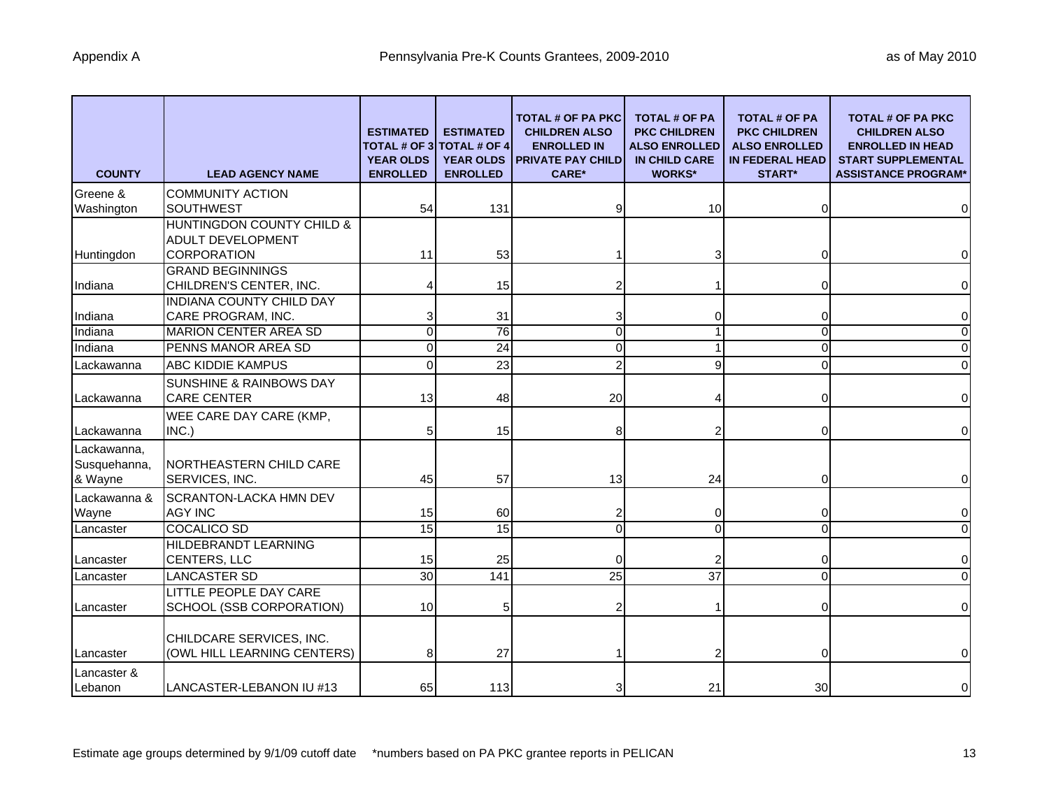| <b>COUNTY</b>                          | <b>LEAD AGENCY NAME</b>                                                                         | <b>ESTIMATED</b><br><b>TOTAL # OF 3</b><br><b>YEAR OLDS</b><br><b>ENROLLED</b> | <b>ESTIMATED</b><br><b>TOTAL # OF 4</b><br><b>YEAR OLDS</b><br><b>ENROLLED</b> | <b>TOTAL # OF PA PKC</b><br><b>CHILDREN ALSO</b><br><b>ENROLLED IN</b><br><b>PRIVATE PAY CHILD</b><br><b>CARE*</b> | <b>TOTAL # OF PA</b><br><b>PKC CHILDREN</b><br><b>ALSO ENROLLED</b><br><b>IN CHILD CARE</b><br><b>WORKS*</b> | <b>TOTAL # OF PA</b><br><b>PKC CHILDREN</b><br><b>ALSO ENROLLED</b><br><b>IN FEDERAL HEAD</b><br><b>START*</b> | <b>TOTAL # OF PA PKC</b><br><b>CHILDREN ALSO</b><br><b>ENROLLED IN HEAD</b><br><b>START SUPPLEMENTAL</b><br><b>ASSISTANCE PROGRAM*</b> |
|----------------------------------------|-------------------------------------------------------------------------------------------------|--------------------------------------------------------------------------------|--------------------------------------------------------------------------------|--------------------------------------------------------------------------------------------------------------------|--------------------------------------------------------------------------------------------------------------|----------------------------------------------------------------------------------------------------------------|----------------------------------------------------------------------------------------------------------------------------------------|
| Greene &                               | <b>COMMUNITY ACTION</b>                                                                         |                                                                                |                                                                                |                                                                                                                    |                                                                                                              |                                                                                                                |                                                                                                                                        |
| Washington<br>Huntingdon               | <b>SOUTHWEST</b><br>HUNTINGDON COUNTY CHILD &<br><b>ADULT DEVELOPMENT</b><br><b>CORPORATION</b> | 54<br>11                                                                       | 131<br>53                                                                      |                                                                                                                    | 10                                                                                                           | 0<br>0                                                                                                         | $\overline{0}$<br>$\overline{0}$                                                                                                       |
| Indiana                                | <b>GRAND BEGINNINGS</b><br>CHILDREN'S CENTER, INC.                                              |                                                                                | 15                                                                             |                                                                                                                    |                                                                                                              | 0                                                                                                              | $\overline{0}$                                                                                                                         |
| Indiana                                | <b>INDIANA COUNTY CHILD DAY</b><br>CARE PROGRAM, INC.                                           |                                                                                | 31                                                                             |                                                                                                                    |                                                                                                              | 0                                                                                                              | $\overline{0}$                                                                                                                         |
| Indiana                                | <b>MARION CENTER AREA SD</b>                                                                    | U                                                                              | 76                                                                             | 0                                                                                                                  |                                                                                                              | $\Omega$                                                                                                       | $\overline{0}$                                                                                                                         |
| Indiana                                | PENNS MANOR AREA SD                                                                             | U                                                                              | 24                                                                             | 0                                                                                                                  |                                                                                                              | $\Omega$                                                                                                       | $\overline{0}$                                                                                                                         |
| Lackawanna                             | <b>ABC KIDDIE KAMPUS</b>                                                                        |                                                                                | 23                                                                             |                                                                                                                    |                                                                                                              | $\Omega$                                                                                                       | $\overline{0}$                                                                                                                         |
| Lackawanna                             | <b>SUNSHINE &amp; RAINBOWS DAY</b><br><b>CARE CENTER</b>                                        | 13                                                                             | 48                                                                             | 20                                                                                                                 |                                                                                                              | 0                                                                                                              | $\overline{0}$                                                                                                                         |
| Lackawanna                             | WEE CARE DAY CARE (KMP,<br>INC.)                                                                |                                                                                | 15                                                                             | 8                                                                                                                  |                                                                                                              | 0                                                                                                              | $\overline{0}$                                                                                                                         |
| Lackawanna,<br>Susquehanna,<br>& Wayne | NORTHEASTERN CHILD CARE<br>SERVICES, INC.                                                       | 45                                                                             | 57                                                                             | 13                                                                                                                 | 24                                                                                                           | 0                                                                                                              | $\Omega$                                                                                                                               |
| Lackawanna &<br>Wayne                  | <b>SCRANTON-LACKA HMN DEV</b><br><b>AGY INC</b>                                                 | 15                                                                             | 60                                                                             |                                                                                                                    |                                                                                                              | 0                                                                                                              | $\overline{0}$                                                                                                                         |
| Lancaster                              | <b>COCALICO SD</b>                                                                              | 15                                                                             | 15                                                                             | 0                                                                                                                  | $\Omega$                                                                                                     | $\Omega$                                                                                                       | $\overline{0}$                                                                                                                         |
| Lancaster                              | HILDEBRANDT LEARNING<br>CENTERS, LLC                                                            | 15                                                                             | 25                                                                             |                                                                                                                    |                                                                                                              | 0                                                                                                              | $\overline{0}$                                                                                                                         |
| Lancaster                              | <b>LANCASTER SD</b>                                                                             | 30                                                                             | 141                                                                            | 25                                                                                                                 | 37                                                                                                           | $\Omega$                                                                                                       | $\overline{0}$                                                                                                                         |
| Lancaster                              | LITTLE PEOPLE DAY CARE<br>SCHOOL (SSB CORPORATION)                                              | 10                                                                             | 5                                                                              |                                                                                                                    |                                                                                                              | 0                                                                                                              | $\overline{0}$                                                                                                                         |
| <b>Lancaster</b>                       | CHILDCARE SERVICES, INC.<br>(OWL HILL LEARNING CENTERS)                                         | 8                                                                              | 27                                                                             |                                                                                                                    |                                                                                                              | 0                                                                                                              | $\overline{0}$                                                                                                                         |
| Lancaster &<br>Lebanon                 | LANCASTER-LEBANON IU #13                                                                        | 65                                                                             | 113                                                                            | 3                                                                                                                  | 21                                                                                                           | 30                                                                                                             | $\overline{0}$                                                                                                                         |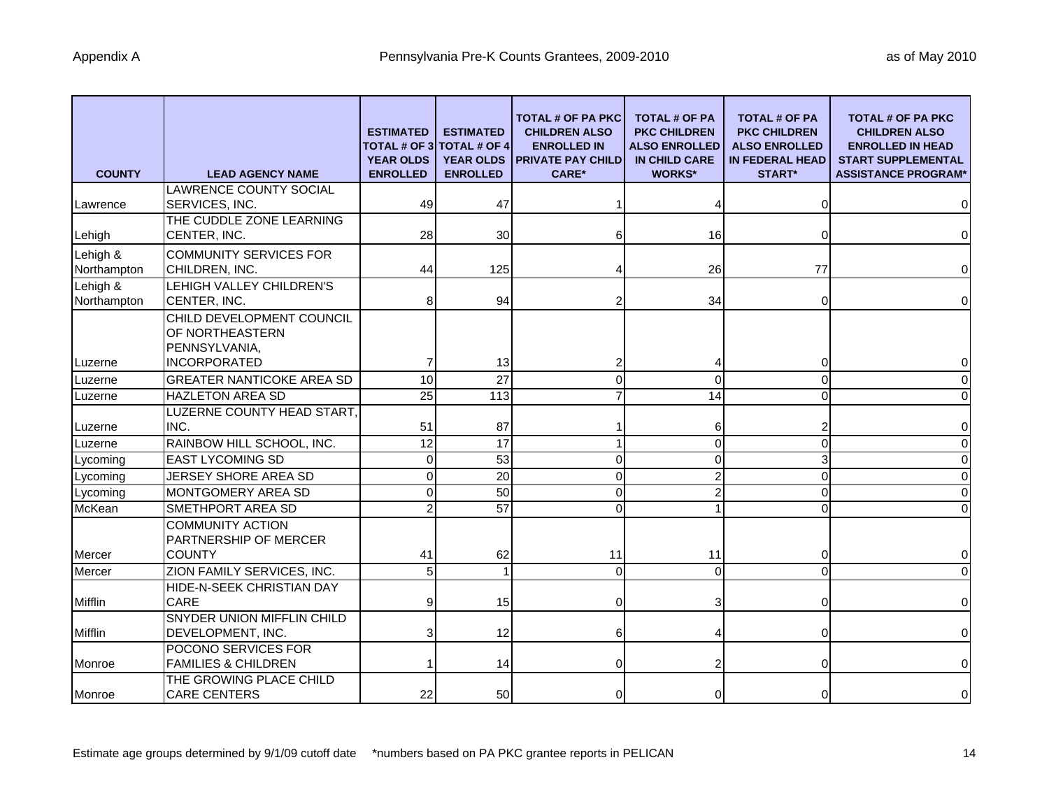| <b>COUNTY</b>           | <b>LEAD AGENCY NAME</b>                                           | <b>ESTIMATED</b><br><b>YEAR OLDS</b><br><b>ENROLLED</b> | <b>ESTIMATED</b><br><b>TOTAL # OF 3 TOTAL # OF 4</b><br><b>YEAR OLDS</b><br><b>ENROLLED</b> | TOTAL # OF PA PKC<br><b>CHILDREN ALSO</b><br><b>ENROLLED IN</b><br><b>PRIVATE PAY CHILD</b><br><b>CARE*</b> | <b>TOTAL # OF PA</b><br><b>PKC CHILDREN</b><br><b>ALSO ENROLLED</b><br><b>IN CHILD CARE</b><br><b>WORKS*</b> | <b>TOTAL # OF PA</b><br><b>PKC CHILDREN</b><br><b>ALSO ENROLLED</b><br><b>IN FEDERAL HEAD</b><br><b>START*</b> | <b>TOTAL # OF PA PKC</b><br><b>CHILDREN ALSO</b><br><b>ENROLLED IN HEAD</b><br><b>START SUPPLEMENTAL</b><br><b>ASSISTANCE PROGRAM*</b> |
|-------------------------|-------------------------------------------------------------------|---------------------------------------------------------|---------------------------------------------------------------------------------------------|-------------------------------------------------------------------------------------------------------------|--------------------------------------------------------------------------------------------------------------|----------------------------------------------------------------------------------------------------------------|----------------------------------------------------------------------------------------------------------------------------------------|
| Lawrence                | LAWRENCE COUNTY SOCIAL<br>SERVICES, INC.                          | 49                                                      | 47                                                                                          |                                                                                                             |                                                                                                              | $\Omega$                                                                                                       | $\mathbf 0$                                                                                                                            |
|                         | THE CUDDLE ZONE LEARNING                                          |                                                         |                                                                                             |                                                                                                             |                                                                                                              |                                                                                                                |                                                                                                                                        |
| Lehigh                  | CENTER, INC.                                                      | 28                                                      | 30                                                                                          | 6                                                                                                           | 16                                                                                                           | 0                                                                                                              | $\mathbf 0$                                                                                                                            |
| Lehigh &                | <b>COMMUNITY SERVICES FOR</b>                                     |                                                         |                                                                                             |                                                                                                             |                                                                                                              |                                                                                                                |                                                                                                                                        |
| Northampton             | CHILDREN, INC.                                                    | 44                                                      | 125                                                                                         |                                                                                                             | 26                                                                                                           | 77                                                                                                             | $\mathbf 0$                                                                                                                            |
| Lehigh &<br>Northampton | LEHIGH VALLEY CHILDREN'S<br>CENTER, INC.                          |                                                         | 94                                                                                          |                                                                                                             | 34                                                                                                           |                                                                                                                | $\pmb{0}$                                                                                                                              |
|                         | CHILD DEVELOPMENT COUNCIL<br>OF NORTHEASTERN<br>PENNSYLVANIA,     |                                                         |                                                                                             |                                                                                                             |                                                                                                              |                                                                                                                |                                                                                                                                        |
| Luzerne                 | <b>INCORPORATED</b>                                               |                                                         | 13                                                                                          |                                                                                                             |                                                                                                              | 0                                                                                                              | $\mathbf 0$                                                                                                                            |
| Luzerne                 | <b>GREATER NANTICOKE AREA SD</b>                                  | 10                                                      | $\overline{27}$                                                                             | 0                                                                                                           | $\Omega$                                                                                                     | $\Omega$                                                                                                       | $\mathbf 0$                                                                                                                            |
| Luzerne                 | <b>HAZLETON AREA SD</b>                                           | $\overline{25}$                                         | 113                                                                                         |                                                                                                             | 14                                                                                                           | $\Omega$                                                                                                       | $\mathbf 0$                                                                                                                            |
| Luzerne                 | LUZERNE COUNTY HEAD START,<br>INC.                                | 51                                                      | 87                                                                                          |                                                                                                             | 6                                                                                                            |                                                                                                                | $\mathbf 0$                                                                                                                            |
| Luzerne                 | RAINBOW HILL SCHOOL, INC.                                         | $\overline{12}$                                         | $\overline{17}$                                                                             |                                                                                                             | $\Omega$                                                                                                     | $\Omega$                                                                                                       | $\mathbf 0$                                                                                                                            |
| Lycoming                | <b>EAST LYCOMING SD</b>                                           | $\Omega$                                                | $\overline{53}$                                                                             | 0                                                                                                           | $\Omega$                                                                                                     | 3                                                                                                              | $\mathbf 0$                                                                                                                            |
| Lycoming                | JERSEY SHORE AREA SD                                              | $\Omega$                                                | $\overline{20}$                                                                             | 0                                                                                                           |                                                                                                              | $\Omega$                                                                                                       | $\mathbf 0$                                                                                                                            |
| Lycoming                | <b>MONTGOMERY AREA SD</b>                                         | U                                                       | $\overline{50}$                                                                             | 0                                                                                                           |                                                                                                              | $\Omega$                                                                                                       | $\mathbf 0$                                                                                                                            |
| McKean                  | SMETHPORT AREA SD                                                 |                                                         | $\overline{57}$                                                                             | O                                                                                                           |                                                                                                              |                                                                                                                | $\mathbf 0$                                                                                                                            |
| Mercer                  | <b>COMMUNITY ACTION</b><br>PARTNERSHIP OF MERCER<br><b>COUNTY</b> | 41                                                      | 62                                                                                          | 11                                                                                                          | 11                                                                                                           | 0                                                                                                              | $\mathbf 0$                                                                                                                            |
| Mercer                  | ZION FAMILY SERVICES, INC.                                        | 5                                                       |                                                                                             | $\Omega$                                                                                                    | $\Omega$                                                                                                     | $\Omega$                                                                                                       | $\Omega$                                                                                                                               |
| Mifflin                 | HIDE-N-SEEK CHRISTIAN DAY<br><b>CARE</b>                          |                                                         | 15                                                                                          | 0                                                                                                           |                                                                                                              | $\Omega$                                                                                                       | $\pmb{0}$                                                                                                                              |
| Mifflin                 | <b>SNYDER UNION MIFFLIN CHILD</b><br>DEVELOPMENT, INC.            |                                                         | 12                                                                                          | 6                                                                                                           |                                                                                                              | $\Omega$                                                                                                       | $\mathbf 0$                                                                                                                            |
| Monroe                  | POCONO SERVICES FOR<br><b>FAMILIES &amp; CHILDREN</b>             |                                                         | 14                                                                                          |                                                                                                             |                                                                                                              |                                                                                                                | $\pmb{0}$                                                                                                                              |
| Monroe                  | THE GROWING PLACE CHILD<br><b>CARE CENTERS</b>                    | 22                                                      | 50                                                                                          | 0                                                                                                           |                                                                                                              |                                                                                                                | $\pmb{0}$                                                                                                                              |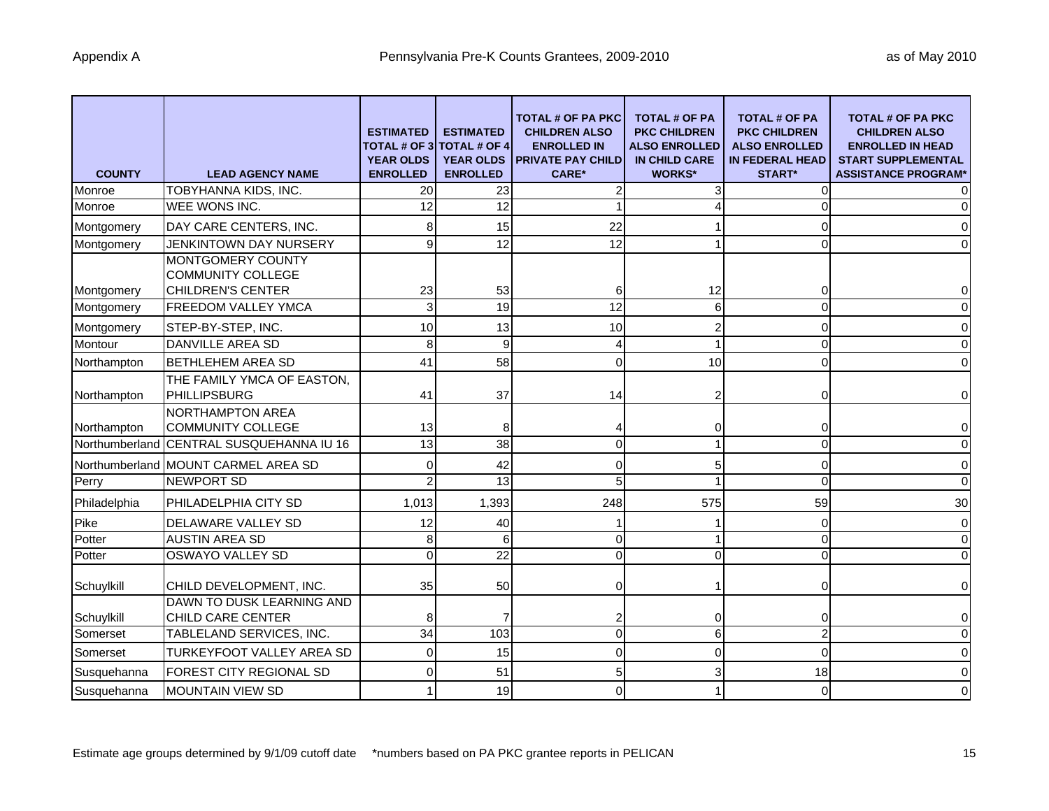| <b>COUNTY</b>  | <b>LEAD AGENCY NAME</b>                                                   | <b>ESTIMATED</b><br><b>TOTAL # OF 3</b><br><b>YEAR OLDS</b><br><b>ENROLLED</b> | <b>ESTIMATED</b><br><b>TOTAL # OF 4</b><br><b>YEAR OLDS</b><br><b>ENROLLED</b> | <b>TOTAL # OF PA PKC</b><br><b>CHILDREN ALSO</b><br><b>ENROLLED IN</b><br><b>PRIVATE PAY CHILD</b><br><b>CARE*</b> | <b>TOTAL # OF PA</b><br><b>PKC CHILDREN</b><br><b>ALSO ENROLLED</b><br><b>IN CHILD CARE</b><br><b>WORKS*</b> | <b>TOTAL # OF PA</b><br><b>PKC CHILDREN</b><br><b>ALSO ENROLLED</b><br><b>IN FEDERAL HEAD</b><br><b>START*</b> | <b>TOTAL # OF PA PKC</b><br><b>CHILDREN ALSO</b><br><b>ENROLLED IN HEAD</b><br><b>START SUPPLEMENTAL</b><br><b>ASSISTANCE PROGRAM*</b> |
|----------------|---------------------------------------------------------------------------|--------------------------------------------------------------------------------|--------------------------------------------------------------------------------|--------------------------------------------------------------------------------------------------------------------|--------------------------------------------------------------------------------------------------------------|----------------------------------------------------------------------------------------------------------------|----------------------------------------------------------------------------------------------------------------------------------------|
| Monroe         | TOBYHANNA KIDS, INC.                                                      | 20                                                                             | 23                                                                             | 2                                                                                                                  |                                                                                                              | 0                                                                                                              | 0                                                                                                                                      |
| Monroe         | WEE WONS INC.                                                             | 12                                                                             | 12                                                                             |                                                                                                                    |                                                                                                              | $\Omega$                                                                                                       | $\overline{0}$                                                                                                                         |
| Montgomery     | DAY CARE CENTERS, INC.                                                    |                                                                                | 15                                                                             | 22                                                                                                                 |                                                                                                              | 0                                                                                                              | $\overline{0}$                                                                                                                         |
| Montgomery     | JENKINTOWN DAY NURSERY                                                    | q                                                                              | 12                                                                             | 12                                                                                                                 |                                                                                                              | $\Omega$                                                                                                       | $\Omega$                                                                                                                               |
| Montgomery     | MONTGOMERY COUNTY<br><b>COMMUNITY COLLEGE</b><br><b>CHILDREN'S CENTER</b> | 23                                                                             | 53                                                                             | 6                                                                                                                  | 12                                                                                                           | 0                                                                                                              | $\overline{0}$                                                                                                                         |
| Montgomery     | FREEDOM VALLEY YMCA                                                       | 3                                                                              | 19                                                                             | 12                                                                                                                 | 6                                                                                                            | $\Omega$                                                                                                       | $\overline{0}$                                                                                                                         |
| Montgomery     | STEP-BY-STEP, INC.                                                        | 10                                                                             | 13                                                                             | 10                                                                                                                 |                                                                                                              | 0                                                                                                              | $\overline{0}$                                                                                                                         |
| Montour        | <b>DANVILLE AREA SD</b>                                                   | 8                                                                              | $\overline{9}$                                                                 | 4                                                                                                                  |                                                                                                              | $\Omega$                                                                                                       | $\overline{0}$                                                                                                                         |
| Northampton    | <b>BETHLEHEM AREA SD</b>                                                  | 41                                                                             | 58                                                                             | 0                                                                                                                  | 10                                                                                                           | $\Omega$                                                                                                       | $\overline{0}$                                                                                                                         |
| Northampton    | THE FAMILY YMCA OF EASTON,<br>PHILLIPSBURG                                | 41                                                                             | 37                                                                             | 14                                                                                                                 |                                                                                                              | 0                                                                                                              | $\overline{0}$                                                                                                                         |
| Northampton    | NORTHAMPTON AREA<br><b>COMMUNITY COLLEGE</b>                              | 13                                                                             | 8                                                                              |                                                                                                                    |                                                                                                              | 0                                                                                                              | $\overline{0}$                                                                                                                         |
| Northumberland | CENTRAL SUSQUEHANNA IU 16                                                 | $\overline{13}$                                                                | 38                                                                             | 0                                                                                                                  |                                                                                                              | $\Omega$                                                                                                       | $\overline{0}$                                                                                                                         |
|                | Northumberland MOUNT CARMEL AREA SD                                       |                                                                                | 42                                                                             | ი                                                                                                                  |                                                                                                              | 0                                                                                                              | $\overline{0}$                                                                                                                         |
| Perry          | <b>NEWPORT SD</b>                                                         |                                                                                | $\overline{13}$                                                                | 5                                                                                                                  |                                                                                                              | $\Omega$                                                                                                       | $\overline{0}$                                                                                                                         |
| Philadelphia   | PHILADELPHIA CITY SD                                                      | 1,013                                                                          | 1,393                                                                          | 248                                                                                                                | 575                                                                                                          | 59                                                                                                             | 30                                                                                                                                     |
| Pike           | DELAWARE VALLEY SD                                                        | 12                                                                             | 40                                                                             |                                                                                                                    |                                                                                                              | 0                                                                                                              | $\overline{0}$                                                                                                                         |
| Potter         | <b>AUSTIN AREA SD</b>                                                     | 8                                                                              | 6                                                                              | $\Omega$                                                                                                           |                                                                                                              | $\Omega$                                                                                                       | $\Omega$                                                                                                                               |
| Potter         | <b>OSWAYO VALLEY SD</b>                                                   | O                                                                              | 22                                                                             | $\Omega$                                                                                                           | 0                                                                                                            | $\Omega$                                                                                                       | $\Omega$                                                                                                                               |
| Schuylkill     | CHILD DEVELOPMENT, INC.                                                   | 35                                                                             | 50                                                                             | 0                                                                                                                  |                                                                                                              | $\Omega$                                                                                                       | $\overline{0}$                                                                                                                         |
| Schuylkill     | DAWN TO DUSK LEARNING AND<br>CHILD CARE CENTER                            | 8                                                                              | 7                                                                              |                                                                                                                    |                                                                                                              | 0                                                                                                              | $\overline{0}$                                                                                                                         |
| Somerset       | TABLELAND SERVICES, INC.                                                  | 34                                                                             | 103                                                                            | 0                                                                                                                  | 6                                                                                                            | $\overline{2}$                                                                                                 | $\overline{0}$                                                                                                                         |
| Somerset       | <b>TURKEYFOOT VALLEY AREA SD</b>                                          |                                                                                | 15                                                                             | 0                                                                                                                  |                                                                                                              | $\Omega$                                                                                                       | $\overline{0}$                                                                                                                         |
| Susquehanna    | FOREST CITY REGIONAL SD                                                   |                                                                                | 51                                                                             | 5                                                                                                                  |                                                                                                              | 18                                                                                                             | $\overline{0}$                                                                                                                         |
| Susquehanna    | <b>MOUNTAIN VIEW SD</b>                                                   |                                                                                | 19                                                                             | 0                                                                                                                  |                                                                                                              | $\Omega$                                                                                                       | $\overline{0}$                                                                                                                         |